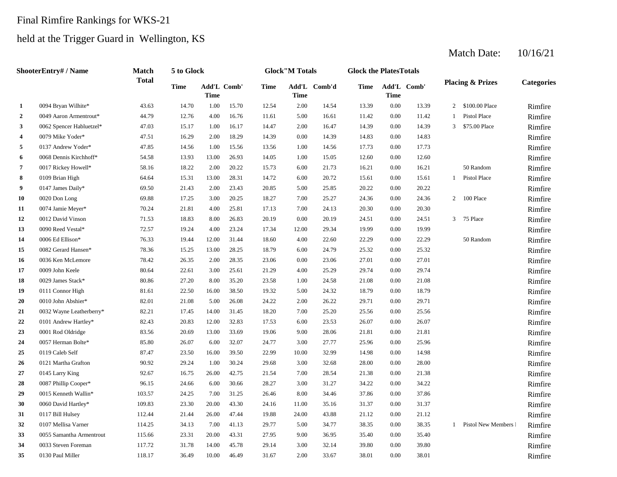## Final Rimfire Rankings for WKS-21

## held at the Trigger Guard in Wellington, KS

|                         | <b>ShooterEntry# / Name</b> | <b>Match</b> | 5 to Glock  |             |                    |             | <b>Glock</b> "M Totals |              | <b>Glock the PlatesTotals</b> |             |             |              |                             |                   |
|-------------------------|-----------------------------|--------------|-------------|-------------|--------------------|-------------|------------------------|--------------|-------------------------------|-------------|-------------|--------------|-----------------------------|-------------------|
|                         |                             | <b>Total</b> | <b>Time</b> | <b>Time</b> | <b>Add'L Comb'</b> | <b>Time</b> | <b>Time</b>            | Add'L Comb'd | Time                          | <b>Time</b> | Add'L Comb' |              | <b>Placing &amp; Prizes</b> | <b>Categories</b> |
| 1                       | 0094 Bryan Wilhite*         | 43.63        | 14.70       | 1.00        | 15.70              | 12.54       | 2.00                   | 14.54        | 13.39                         | 0.00        | 13.39       |              | 2 \$100.00 Place            | Rimfire           |
| $\overline{2}$          | 0049 Aaron Armentrout*      | 44.79        | 12.76       | 4.00        | 16.76              | 11.61       | 5.00                   | 16.61        | 11.42                         | 0.00        | 11.42       | 1            | <b>Pistol Place</b>         | Rimfire           |
| 3                       | 0062 Spencer Habluetzel*    | 47.03        | 15.17       | 1.00        | 16.17              | 14.47       | 2.00                   | 16.47        | 14.39                         | 0.00        | 14.39       | 3            | \$75.00 Place               | Rimfire           |
| $\overline{\mathbf{4}}$ | 0079 Mike Yoder*            | 47.51        | 16.29       | 2.00        | 18.29              | 14.39       | 0.00                   | 14.39        | 14.83                         | 0.00        | 14.83       |              |                             | Rimfire           |
| 5                       | 0137 Andrew Yoder*          | 47.85        | 14.56       | 1.00        | 15.56              | 13.56       | 1.00                   | 14.56        | 17.73                         | 0.00        | 17.73       |              |                             | Rimfire           |
| 6                       | 0068 Dennis Kirchhoff*      | 54.58        | 13.93       | 13.00       | 26.93              | 14.05       | 1.00                   | 15.05        | 12.60                         | 0.00        | 12.60       |              |                             | Rimfire           |
| $\overline{7}$          | 0017 Rickey Howell*         | 58.16        | 18.22       | 2.00        | 20.22              | 15.73       | 6.00                   | 21.73        | 16.21                         | 0.00        | 16.21       |              | 50 Random                   | Rimfire           |
| 8                       | 0109 Brian High             | 64.64        | 15.31       | 13.00       | 28.31              | 14.72       | 6.00                   | 20.72        | 15.61                         | 0.00        | 15.61       | $\mathbf{1}$ | Pistol Place                | Rimfire           |
| 9                       | 0147 James Daily*           | 69.50        | 21.43       | 2.00        | 23.43              | 20.85       | 5.00                   | 25.85        | 20.22                         | 0.00        | 20.22       |              |                             | Rimfire           |
| 10                      | 0020 Don Long               | 69.88        | 17.25       | 3.00        | 20.25              | 18.27       | 7.00                   | 25.27        | 24.36                         | 0.00        | 24.36       |              | 2 100 Place                 | Rimfire           |
| 11                      | 0074 Jamie Meyer*           | 70.24        | 21.81       | 4.00        | 25.81              | 17.13       | 7.00                   | 24.13        | 20.30                         | 0.00        | 20.30       |              |                             | Rimfire           |
| 12                      | 0012 David Vinson           | 71.53        | 18.83       | 8.00        | 26.83              | 20.19       | 0.00                   | 20.19        | 24.51                         | $0.00\,$    | 24.51       | 3            | 75 Place                    | Rimfire           |
| 13                      | 0090 Reed Vestal*           | 72.57        | 19.24       | 4.00        | 23.24              | 17.34       | 12.00                  | 29.34        | 19.99                         | 0.00        | 19.99       |              |                             | Rimfire           |
| 14                      | 0006 Ed Ellison*            | 76.33        | 19.44       | 12.00       | 31.44              | 18.60       | 4.00                   | 22.60        | 22.29                         | 0.00        | 22.29       |              | 50 Random                   | Rimfire           |
| 15                      | 0082 Gerard Hansen*         | 78.36        | 15.25       | 13.00       | 28.25              | 18.79       | 6.00                   | 24.79        | 25.32                         | 0.00        | 25.32       |              |                             | Rimfire           |
| 16                      | 0036 Ken McLemore           | 78.42        | 26.35       | 2.00        | 28.35              | 23.06       | 0.00                   | 23.06        | 27.01                         | 0.00        | 27.01       |              |                             | Rimfire           |
| 17                      | 0009 John Keele             | 80.64        | 22.61       | 3.00        | 25.61              | 21.29       | 4.00                   | 25.29        | 29.74                         | 0.00        | 29.74       |              |                             | Rimfire           |
| 18                      | 0029 James Stack*           | 80.86        | 27.20       | 8.00        | 35.20              | 23.58       | 1.00                   | 24.58        | 21.08                         | 0.00        | 21.08       |              |                             | Rimfire           |
| 19                      | 0111 Connor High            | 81.61        | 22.50       | 16.00       | 38.50              | 19.32       | 5.00                   | 24.32        | 18.79                         | 0.00        | 18.79       |              |                             | Rimfire           |
| 20                      | 0010 John Abshier*          | 82.01        | 21.08       | 5.00        | 26.08              | 24.22       | 2.00                   | 26.22        | 29.71                         | 0.00        | 29.71       |              |                             | Rimfire           |
| 21                      | 0032 Wayne Leatherberry*    | 82.21        | 17.45       | 14.00       | 31.45              | 18.20       | 7.00                   | 25.20        | 25.56                         | 0.00        | 25.56       |              |                             | Rimfire           |
| 22                      | 0101 Andrew Hartley*        | 82.43        | 20.83       | 12.00       | 32.83              | 17.53       | 6.00                   | 23.53        | 26.07                         | 0.00        | 26.07       |              |                             | Rimfire           |
| 23                      | 0001 Rod Oldridge           | 83.56        | 20.69       | 13.00       | 33.69              | 19.06       | 9.00                   | 28.06        | 21.81                         | 0.00        | 21.81       |              |                             | Rimfire           |
| 24                      | 0057 Herman Bolte*          | 85.80        | 26.07       | 6.00        | 32.07              | 24.77       | 3.00                   | 27.77        | 25.96                         | 0.00        | 25.96       |              |                             | Rimfire           |
| 25                      | 0119 Caleb Self             | 87.47        | 23.50       | 16.00       | 39.50              | 22.99       | 10.00                  | 32.99        | 14.98                         | 0.00        | 14.98       |              |                             | Rimfire           |
| 26                      | 0121 Martha Grafton         | 90.92        | 29.24       | 1.00        | 30.24              | 29.68       | 3.00                   | 32.68        | 28.00                         | 0.00        | 28.00       |              |                             | Rimfire           |
| 27                      | 0145 Larry King             | 92.67        | 16.75       | 26.00       | 42.75              | 21.54       | 7.00                   | 28.54        | 21.38                         | 0.00        | 21.38       |              |                             | Rimfire           |
| 28                      | 0087 Phillip Cooper*        | 96.15        | 24.66       | 6.00        | 30.66              | 28.27       | 3.00                   | 31.27        | 34.22                         | 0.00        | 34.22       |              |                             | Rimfire           |
| 29                      | 0015 Kenneth Wallin*        | 103.57       | 24.25       | 7.00        | 31.25              | 26.46       | 8.00                   | 34.46        | 37.86                         | 0.00        | 37.86       |              |                             | Rimfire           |
| 30                      | 0060 David Hartley*         | 109.83       | 23.30       | 20.00       | 43.30              | 24.16       | 11.00                  | 35.16        | 31.37                         | 0.00        | 31.37       |              |                             | Rimfire           |
| 31                      | 0117 Bill Hulsey            | 112.44       | 21.44       | 26.00       | 47.44              | 19.88       | 24.00                  | 43.88        | 21.12                         | 0.00        | 21.12       |              |                             | Rimfire           |
| 32                      | 0107 Mellisa Varner         | 114.25       | 34.13       | 7.00        | 41.13              | 29.77       | 5.00                   | 34.77        | 38.35                         | 0.00        | 38.35       | 1            | Pistol New Members 1        | Rimfire           |
| 33                      | 0055 Samantha Armentrout    | 115.66       | 23.31       | 20.00       | 43.31              | 27.95       | 9.00                   | 36.95        | 35.40                         | 0.00        | 35.40       |              |                             | Rimfire           |
| 34                      | 0033 Steven Foreman         | 117.72       | 31.78       | 14.00       | 45.78              | 29.14       | 3.00                   | 32.14        | 39.80                         | 0.00        | 39.80       |              |                             | Rimfire           |
| 35                      | 0130 Paul Miller            | 118.17       | 36.49       | 10.00       | 46.49              | 31.67       | 2.00                   | 33.67        | 38.01                         | 0.00        | 38.01       |              |                             | Rimfire           |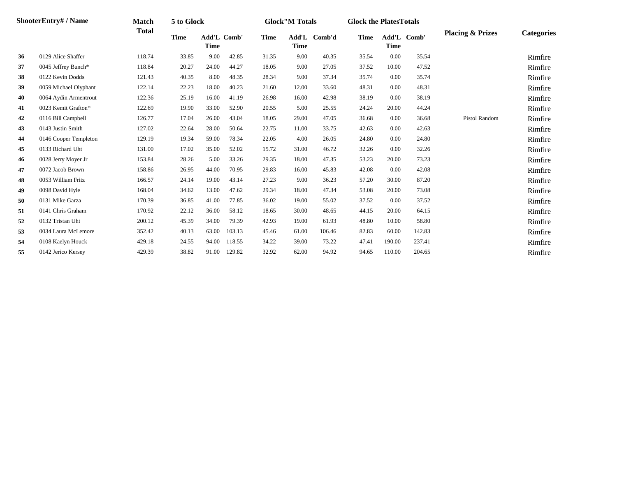|    | <b>ShooterEntry#/Name</b> | <b>Match</b> | 5 to Glock  |                            |        |             | <b>Glock</b> "M Totals |              | <b>Glock the Plates Totals</b> |             |             |                             |                   |
|----|---------------------------|--------------|-------------|----------------------------|--------|-------------|------------------------|--------------|--------------------------------|-------------|-------------|-----------------------------|-------------------|
|    |                           | <b>Total</b> | <b>Time</b> | Add'L Comb'<br><b>Time</b> |        | <b>Time</b> | <b>Time</b>            | Add'L Comb'd | <b>Time</b>                    | <b>Time</b> | Add'L Comb' | <b>Placing &amp; Prizes</b> | <b>Categories</b> |
| 36 | 0129 Alice Shaffer        | 118.74       | 33.85       | 9.00                       | 42.85  | 31.35       | 9.00                   | 40.35        | 35.54                          | 0.00        | 35.54       |                             | Rimfire           |
| 37 | 0045 Jeffrey Bunch*       | 118.84       | 20.27       | 24.00                      | 44.27  | 18.05       | 9.00                   | 27.05        | 37.52                          | 10.00       | 47.52       |                             | Rimfire           |
| 38 | 0122 Kevin Dodds          | 121.43       | 40.35       | 8.00                       | 48.35  | 28.34       | 9.00                   | 37.34        | 35.74                          | 0.00        | 35.74       |                             | Rimfire           |
| 39 | 0059 Michael Olyphant     | 122.14       | 22.23       | 18.00                      | 40.23  | 21.60       | 12.00                  | 33.60        | 48.31                          | 0.00        | 48.31       |                             | Rimfire           |
| 40 | 0064 Aydin Armentrout     | 122.36       | 25.19       | 16.00                      | 41.19  | 26.98       | 16.00                  | 42.98        | 38.19                          | 0.00        | 38.19       |                             | Rimfire           |
| 41 | 0023 Kemit Grafton*       | 122.69       | 19.90       | 33.00                      | 52.90  | 20.55       | 5.00                   | 25.55        | 24.24                          | 20.00       | 44.24       |                             | Rimfire           |
| 42 | 0116 Bill Campbell        | 126.77       | 17.04       | 26.00                      | 43.04  | 18.05       | 29.00                  | 47.05        | 36.68                          | 0.00        | 36.68       | Pistol Random               | Rimfire           |
| 43 | 0143 Justin Smith         | 127.02       | 22.64       | 28.00                      | 50.64  | 22.75       | 11.00                  | 33.75        | 42.63                          | 0.00        | 42.63       |                             | Rimfire           |
| 44 | 0146 Cooper Templeton     | 129.19       | 19.34       | 59.00                      | 78.34  | 22.05       | 4.00                   | 26.05        | 24.80                          | 0.00        | 24.80       |                             | Rimfire           |
| 45 | 0133 Richard Uht          | 131.00       | 17.02       | 35.00                      | 52.02  | 15.72       | 31.00                  | 46.72        | 32.26                          | 0.00        | 32.26       |                             | Rimfire           |
| 46 | 0028 Jerry Moyer Jr       | 153.84       | 28.26       | 5.00                       | 33.26  | 29.35       | 18.00                  | 47.35        | 53.23                          | 20.00       | 73.23       |                             | Rimfire           |
| 47 | 0072 Jacob Brown          | 158.86       | 26.95       | 44.00                      | 70.95  | 29.83       | 16.00                  | 45.83        | 42.08                          | 0.00        | 42.08       |                             | Rimfire           |
| 48 | 0053 William Fritz        | 166.57       | 24.14       | 19.00                      | 43.14  | 27.23       | 9.00                   | 36.23        | 57.20                          | 30.00       | 87.20       |                             | Rimfire           |
| 49 | 0098 David Hyle           | 168.04       | 34.62       | 13.00                      | 47.62  | 29.34       | 18.00                  | 47.34        | 53.08                          | 20.00       | 73.08       |                             | Rimfire           |
| 50 | 0131 Mike Garza           | 170.39       | 36.85       | 41.00                      | 77.85  | 36.02       | 19.00                  | 55.02        | 37.52                          | 0.00        | 37.52       |                             | Rimfire           |
| 51 | 0141 Chris Graham         | 170.92       | 22.12       | 36.00                      | 58.12  | 18.65       | 30.00                  | 48.65        | 44.15                          | 20.00       | 64.15       |                             | Rimfire           |
| 52 | 0132 Tristan Uht          | 200.12       | 45.39       | 34.00                      | 79.39  | 42.93       | 19.00                  | 61.93        | 48.80                          | 10.00       | 58.80       |                             | Rimfire           |
| 53 | 0034 Laura McLemore       | 352.42       | 40.13       | 63.00                      | 103.13 | 45.46       | 61.00                  | 106.46       | 82.83                          | 60.00       | 142.83      |                             | Rimfire           |
| 54 | 0108 Kaelyn Houck         | 429.18       | 24.55       | 94.00                      | 118.55 | 34.22       | 39.00                  | 73.22        | 47.41                          | 190.00      | 237.41      |                             | Rimfire           |
| 55 | 0142 Jerico Kersey        | 429.39       | 38.82       | 91.00                      | 129.82 | 32.92       | 62.00                  | 94.92        | 94.65                          | 110.00      | 204.65      |                             | Rimfire           |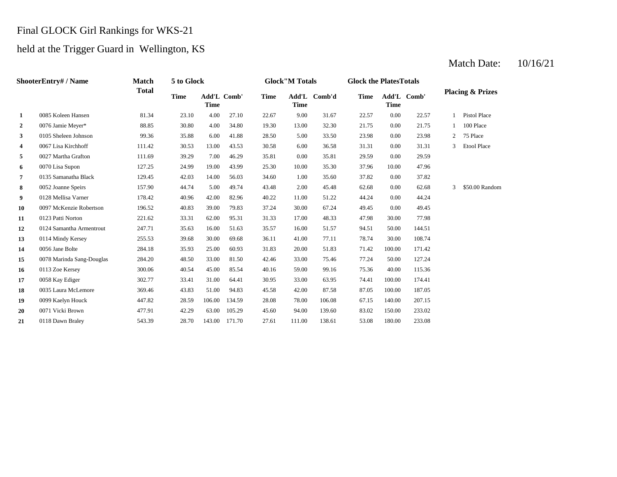# Final GLOCK Girl Rankings for WKS-21

# held at the Trigger Guard in Wellington, KS

|                | ShooterEntrv# / Name      | <b>Match</b> | 5 to Glock  |                            |        |             | <b>Glock</b> "M Totals |              | <b>Glock the PlatesTotals</b> |             |             |   |                             |
|----------------|---------------------------|--------------|-------------|----------------------------|--------|-------------|------------------------|--------------|-------------------------------|-------------|-------------|---|-----------------------------|
|                |                           | <b>Total</b> | <b>Time</b> | Add'L Comb'<br><b>Time</b> |        | <b>Time</b> | <b>Time</b>            | Add'L Comb'd | <b>Time</b>                   | <b>Time</b> | Add'L Comb' |   | <b>Placing &amp; Prizes</b> |
| 1              | 0085 Koleen Hansen        | 81.34        | 23.10       | 4.00                       | 27.10  | 22.67       | 9.00                   | 31.67        | 22.57                         | 0.00        | 22.57       |   | <b>Pistol Place</b>         |
| $\overline{2}$ | 0076 Jamie Meyer*         | 88.85        | 30.80       | 4.00                       | 34.80  | 19.30       | 13.00                  | 32.30        | 21.75                         | 0.00        | 21.75       |   | 100 Place                   |
| 3              | 0105 Sheleen Johnson      | 99.36        | 35.88       | 6.00                       | 41.88  | 28.50       | 5.00                   | 33.50        | 23.98                         | 0.00        | 23.98       | 2 | 75 Place                    |
| 4              | 0067 Lisa Kirchhoff       | 111.42       | 30.53       | 13.00                      | 43.53  | 30.58       | 6.00                   | 36.58        | 31.31                         | 0.00        | 31.31       |   | <b>Etool Place</b>          |
| 5              | 0027 Martha Grafton       | 111.69       | 39.29       | 7.00                       | 46.29  | 35.81       | 0.00                   | 35.81        | 29.59                         | 0.00        | 29.59       |   |                             |
| 6              | 0070 Lisa Supon           | 127.25       | 24.99       | 19.00                      | 43.99  | 25.30       | 10.00                  | 35.30        | 37.96                         | 10.00       | 47.96       |   |                             |
| 7              | 0135 Samanatha Black      | 129.45       | 42.03       | 14.00                      | 56.03  | 34.60       | 1.00                   | 35.60        | 37.82                         | 0.00        | 37.82       |   |                             |
| 8              | 0052 Joanne Speirs        | 157.90       | 44.74       | 5.00                       | 49.74  | 43.48       | 2.00                   | 45.48        | 62.68                         | 0.00        | 62.68       | 3 | \$50.00 Random              |
| 9              | 0128 Mellisa Varner       | 178.42       | 40.96       | 42.00                      | 82.96  | 40.22       | 11.00                  | 51.22        | 44.24                         | 0.00        | 44.24       |   |                             |
| 10             | 0097 McKenzie Robertson   | 196.52       | 40.83       | 39.00                      | 79.83  | 37.24       | 30.00                  | 67.24        | 49.45                         | 0.00        | 49.45       |   |                             |
| 11             | 0123 Patti Norton         | 221.62       | 33.31       | 62.00                      | 95.31  | 31.33       | 17.00                  | 48.33        | 47.98                         | 30.00       | 77.98       |   |                             |
| 12             | 0124 Samantha Armentrout  | 247.71       | 35.63       | 16.00                      | 51.63  | 35.57       | 16.00                  | 51.57        | 94.51                         | 50.00       | 144.51      |   |                             |
| 13             | 0114 Mindy Kersey         | 255.53       | 39.68       | 30.00                      | 69.68  | 36.11       | 41.00                  | 77.11        | 78.74                         | 30.00       | 108.74      |   |                             |
| 14             | 0056 Jane Bolte           | 284.18       | 35.93       | 25.00                      | 60.93  | 31.83       | 20.00                  | 51.83        | 71.42                         | 100.00      | 171.42      |   |                             |
| 15             | 0078 Marinda Sang-Douglas | 284.20       | 48.50       | 33.00                      | 81.50  | 42.46       | 33.00                  | 75.46        | 77.24                         | 50.00       | 127.24      |   |                             |
| 16             | 0113 Zoe Kersey           | 300.06       | 40.54       | 45.00                      | 85.54  | 40.16       | 59.00                  | 99.16        | 75.36                         | 40.00       | 115.36      |   |                             |
| 17             | 0058 Kay Ediger           | 302.77       | 33.41       | 31.00                      | 64.41  | 30.95       | 33.00                  | 63.95        | 74.41                         | 100.00      | 174.41      |   |                             |
| 18             | 0035 Laura McLemore       | 369.46       | 43.83       | 51.00                      | 94.83  | 45.58       | 42.00                  | 87.58        | 87.05                         | 100.00      | 187.05      |   |                             |
| 19             | 0099 Kaelyn Houck         | 447.82       | 28.59       | 106.00                     | 134.59 | 28.08       | 78.00                  | 106.08       | 67.15                         | 140.00      | 207.15      |   |                             |
| 20             | 0071 Vicki Brown          | 477.91       | 42.29       | 63.00                      | 105.29 | 45.60       | 94.00                  | 139.60       | 83.02                         | 150.00      | 233.02      |   |                             |
| 21             | 0118 Dawn Braley          | 543.39       | 28.70       | 143.00                     | 171.70 | 27.61       | 111.00                 | 138.61       | 53.08                         | 180.00      | 233.08      |   |                             |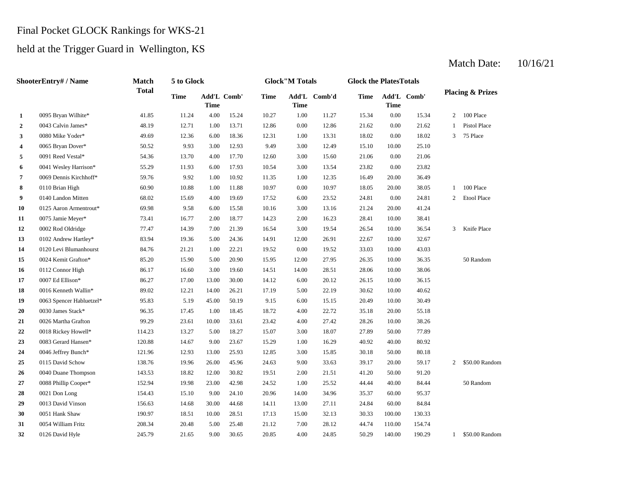#### Final Pocket GLOCK Rankings for WKS-21

#### held at the Trigger Guard in Wellington, KS

#### **2** 0.043 Calvin James\* 48.19 12.71 1.00 13.71 12.86 0.00 12.86 21.62 **3** 1.00 0080 Mike Yoder\* 49.69 12.36 6.00 18.36 12.31 1.00 13.31 18.02 **4** 3.00 12.49 **15.10 12.49 50.52 9.93** 3.00 **12.93 9.49** 3.00 **12.49 15.10 5**  $\frac{13.70}{13.70}$  12.60 13.00 15.60 21.06 **6** 3.00 13.54 **55.29** 11.93 6.00 17.93 10.54 3.00 13.54 23.82 **7** 1.00 16.49 0069 Dennis Kirchhoff\* 59.76 9.92 1.00 10.92 11.35 12.35 20.00 **8** 0.00 10.87 0.00 10.87 18.05 **9** 0140 Landon Mitten 68.02 15.69 4.00 19.69 17.52 6.00 23.52 24.81 0.00 **10** 0125 Aaron Armentrout\* 69.98 9.58 6.00 15.58 10.16 3.00 13.16 21.24 **11** 0075 Jamie Meyer\* 73.41 16.77 2.00 18.77 14.23 2.00 16.23 28.41 10.00 **12** 3.00 26.54 0002 Rod Oldridge 77.47 14.39 7.00 21.39 16.54 19.54 10.00 36.54 **13** 0102 Andrew Hartley\* 83.94 19.36 5.00 24.36 14.91 12.00 26.91 22.67 10.00 **14** 0.00 33.03 0120 Levi Blumanhourst 84.76 21.21 1.00 22.21 19.52 19.52 10.00 43.03 **15** 0024 Kemit Grafton\* 85.20 15.90 5.00 20.90 15.95 12.00 27.95 26.35 **16** 0112 Connor High 86.17 16.60 3.00 19.60 14.51 14.00 28.51 28.06 **17 10007** Ed Ellison\* **17.00 13.00 13.00 14.12 17.00 14.12 14.12 18.00 14.12 16.00 14.12 16.00 20.15 18** 0016 Kenneth Wallin\* 89.02 12.21 14.00 26.21 17.19 5.00 22.19 30.62 10.00 **19** 0063 Spencer Habluetzel\* 95.83 5.19 45.00 50.19 9.15 6.00 15.15 20.49 10.00 30.49 **20** 0030 James Stack\* 96.35 17.45 1.00 18.45 18.72 4.00 22.72 35.18 **21** 4.00 28.26 0026 Martha Grafton 99.29 23.61 10.00 33.61 23.42 27.42 **22** 3.00 27.89 0018 Rickey Howell\* 114.23 13.27 5.00 18.27 15.07 18.07 50.00 **23** 0083 Gerard Hansen\* 120.88 14.67 9.00 23.67 15.29 1.00 16.29 40.92 40.00 80.92 **24** 3.00 30.18 0046 Jeffrey Bunch\* 121.96 12.93 13.00 25.93 12.85 25 0115 David Schow 138.76 19.96 26.00 45.96 24.63 9.00 33.63 39.17 **26** 0040 Duane Thompson 143.53 18.82 12.00 30.82 19.51 2.00 21.51 41.20 **27** 0088 Phillip Cooper\* 152.94 19.98 23.00 42.98 24.52 1.00 25.52 44.44 **28** 14.00 35.37 0021 Don Long 154.43 15.10 9.00 24.10 20.96 34.96 **29** 0013 David Vinson 156.63 14.68 30.00 44.68 14.11 13.00 27.11 24.84 60.00 **30 15.00 32.13 30.33 30.33 30.33 30.33 30.33 30.33 30.33 30.33 30.33 30.33 30.33 30.33 30.33 30.33 30.33 30.33 30.33 30.33 30.33 30.33 30.33 30.33 30.33 30.33 30.33 31** 0054 William Fritz 208.34 20.48 5.00 25.48 21.12 7.00 28.12 44.74 **32** 0126 David Hyle **190.29** 1 **245.79** 21.65 9.00 30.65 20.85 4.00 24.85 50.29 140.00 190.29 1 \$50.00 Random 28.12 110.00 154.74 0126 David Hyle 245.79 21.65 9.00 30.65 20.85 4.00 24.85 84.84 0051 Hank Shaw 190.97 18.51 10.00 28.51 17.13 15.00 32.13 30.33 100.00 130.33 60.00 95.37 40.00 84.44 50 Random 21.51 41.20 50.00 91.20 20.00 59.17 2 \$50.00 Random 15.85 50.00 80.18 77.89 10.00 38.26 22.72 20.00 55.18 40.62 10.00 36.15 28.51 10.00 38.06 0007 Ed Ellison\* 86.27 17.00 13.00 30.00 14.12 6.00 20.12 27.95 10.00 36.35 50 Random 32.67 3 Knife Place 38.41 20.00 41.24 24.81 2 Etool Place 1 100 Place 36.49 0110 Brian High 60.90 10.88 1.00 11.88 10.97 0.00 10.97 18.05 20.00 38.05 0.00 23.82 15.60 21.06 0.00 21.06 9.49 3.00 12.49 15.10 10.00 25.10 13.31 18.02 0.00 18.02 3 75 Place 0.00 21.62 1 Pistol Place 15.34 2 100 Place 15.24 10.27 1.00 11.27 15.34 0.00 **Add'L Comb'd Time Add'L Time Time** Add'L Comb' **1** 0095 Bryan Wilhite\* 41.85 11.24 4.00 **ShooterEntry# / Name Match Total 5 to Glock Time Glock"M Totals Glock the PlatesTotals Placing & Prizes Time Add'L Time** Add'L Comb' **Time**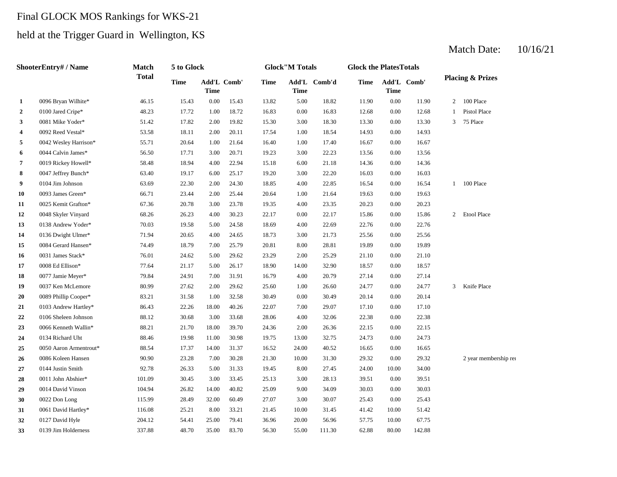# Final GLOCK MOS Rankings for WKS-21

# held at the Trigger Guard in Wellington, KS

|                | <b>ShooterEntry# / Name</b> | <b>Match</b> | 5 to Glock |       |             |       | <b>Glock</b> "M Totals |              | <b>Glock the PlatesTotals</b> |                     |        |                |                             |  |
|----------------|-----------------------------|--------------|------------|-------|-------------|-------|------------------------|--------------|-------------------------------|---------------------|--------|----------------|-----------------------------|--|
|                |                             | <b>Total</b> | Time       | Time  | Add'L Comb' | Time  | <b>Time</b>            | Add'L Comb'd | Time                          | Add'L Comb'<br>Time |        |                | <b>Placing &amp; Prizes</b> |  |
| 1              | 0096 Bryan Wilhite*         | 46.15        | 15.43      | 0.00  | 15.43       | 13.82 | 5.00                   | 18.82        | 11.90                         | 0.00                | 11.90  | 2              | 100 Place                   |  |
| $\overline{2}$ | 0100 Jared Cripe*           | 48.23        | 17.72      | 1.00  | 18.72       | 16.83 | 0.00                   | 16.83        | 12.68                         | 0.00                | 12.68  | $\mathbf{1}$   | <b>Pistol Place</b>         |  |
| 3              | 0081 Mike Yoder*            | 51.42        | 17.82      | 2.00  | 19.82       | 15.30 | 3.00                   | 18.30        | 13.30                         | 0.00                | 13.30  | 3              | 75 Place                    |  |
| 4              | 0092 Reed Vestal*           | 53.58        | 18.11      | 2.00  | 20.11       | 17.54 | 1.00                   | 18.54        | 14.93                         | 0.00                | 14.93  |                |                             |  |
| 5              | 0042 Wesley Harrison*       | 55.71        | 20.64      | 1.00  | 21.64       | 16.40 | 1.00                   | 17.40        | 16.67                         | 0.00                | 16.67  |                |                             |  |
| 6              | 0044 Calvin James*          | 56.50        | 17.71      | 3.00  | 20.71       | 19.23 | 3.00                   | 22.23        | 13.56                         | 0.00                | 13.56  |                |                             |  |
| 7              | 0019 Rickey Howell*         | 58.48        | 18.94      | 4.00  | 22.94       | 15.18 | 6.00                   | 21.18        | 14.36                         | 0.00                | 14.36  |                |                             |  |
| 8              | 0047 Jeffrey Bunch*         | 63.40        | 19.17      | 6.00  | 25.17       | 19.20 | 3.00                   | 22.20        | 16.03                         | 0.00                | 16.03  |                |                             |  |
| 9              | 0104 Jim Johnson            | 63.69        | 22.30      | 2.00  | 24.30       | 18.85 | 4.00                   | 22.85        | 16.54                         | 0.00                | 16.54  | $\mathbf{1}$   | 100 Place                   |  |
| 10             | 0093 James Green*           | 66.71        | 23.44      | 2.00  | 25.44       | 20.64 | 1.00                   | 21.64        | 19.63                         | 0.00                | 19.63  |                |                             |  |
| 11             | 0025 Kemit Grafton*         | 67.36        | 20.78      | 3.00  | 23.78       | 19.35 | 4.00                   | 23.35        | 20.23                         | 0.00                | 20.23  |                |                             |  |
| 12             | 0048 Skyler Vinyard         | 68.26        | 26.23      | 4.00  | 30.23       | 22.17 | 0.00                   | 22.17        | 15.86                         | 0.00                | 15.86  | $\overline{2}$ | <b>Etool Place</b>          |  |
| 13             | 0138 Andrew Yoder*          | 70.03        | 19.58      | 5.00  | 24.58       | 18.69 | 4.00                   | 22.69        | 22.76                         | 0.00                | 22.76  |                |                             |  |
| 14             | 0136 Dwight Ulmer*          | 71.94        | 20.65      | 4.00  | 24.65       | 18.73 | 3.00                   | 21.73        | 25.56                         | $0.00\,$            | 25.56  |                |                             |  |
| 15             | 0084 Gerard Hansen*         | 74.49        | 18.79      | 7.00  | 25.79       | 20.81 | 8.00                   | 28.81        | 19.89                         | 0.00                | 19.89  |                |                             |  |
| 16             | 0031 James Stack*           | 76.01        | 24.62      | 5.00  | 29.62       | 23.29 | 2.00                   | 25.29        | 21.10                         | 0.00                | 21.10  |                |                             |  |
| 17             | 0008 Ed Ellison*            | 77.64        | 21.17      | 5.00  | 26.17       | 18.90 | 14.00                  | 32.90        | 18.57                         | 0.00                | 18.57  |                |                             |  |
| 18             | 0077 Jamie Meyer*           | 79.84        | 24.91      | 7.00  | 31.91       | 16.79 | 4.00                   | 20.79        | 27.14                         | 0.00                | 27.14  |                |                             |  |
| 19             | 0037 Ken McLemore           | 80.99        | 27.62      | 2.00  | 29.62       | 25.60 | 1.00                   | 26.60        | 24.77                         | 0.00                | 24.77  | 3              | Knife Place                 |  |
| 20             | 0089 Phillip Cooper*        | 83.21        | 31.58      | 1.00  | 32.58       | 30.49 | 0.00                   | 30.49        | 20.14                         | 0.00                | 20.14  |                |                             |  |
| 21             | 0103 Andrew Hartley*        | 86.43        | 22.26      | 18.00 | 40.26       | 22.07 | 7.00                   | 29.07        | 17.10                         | 0.00                | 17.10  |                |                             |  |
| 22             | 0106 Sheleen Johnson        | 88.12        | 30.68      | 3.00  | 33.68       | 28.06 | 4.00                   | 32.06        | 22.38                         | 0.00                | 22.38  |                |                             |  |
| 23             | 0066 Kenneth Wallin*        | 88.21        | 21.70      | 18.00 | 39.70       | 24.36 | 2.00                   | 26.36        | 22.15                         | 0.00                | 22.15  |                |                             |  |
| 24             | 0134 Richard Uht            | 88.46        | 19.98      | 11.00 | 30.98       | 19.75 | 13.00                  | 32.75        | 24.73                         | 0.00                | 24.73  |                |                             |  |
| 25             | 0050 Aaron Armentrout*      | 88.54        | 17.37      | 14.00 | 31.37       | 16.52 | 24.00                  | 40.52        | 16.65                         | 0.00                | 16.65  |                |                             |  |
| 26             | 0086 Koleen Hansen          | 90.90        | 23.28      | 7.00  | 30.28       | 21.30 | 10.00                  | 31.30        | 29.32                         | $0.00\,$            | 29.32  |                | 2 year membership ren       |  |
| 27             | 0144 Justin Smith           | 92.78        | 26.33      | 5.00  | 31.33       | 19.45 | 8.00                   | 27.45        | 24.00                         | 10.00               | 34.00  |                |                             |  |
| 28             | 0011 John Abshier*          | 101.09       | 30.45      | 3.00  | 33.45       | 25.13 | 3.00                   | 28.13        | 39.51                         | 0.00                | 39.51  |                |                             |  |
| 29             | 0014 David Vinson           | 104.94       | 26.82      | 14.00 | 40.82       | 25.09 | 9.00                   | 34.09        | 30.03                         | 0.00                | 30.03  |                |                             |  |
| 30             | 0022 Don Long               | 115.99       | 28.49      | 32.00 | 60.49       | 27.07 | 3.00                   | 30.07        | 25.43                         | 0.00                | 25.43  |                |                             |  |
| 31             | 0061 David Hartley*         | 116.08       | 25.21      | 8.00  | 33.21       | 21.45 | 10.00                  | 31.45        | 41.42                         | 10.00               | 51.42  |                |                             |  |
| 32             | 0127 David Hyle             | 204.12       | 54.41      | 25.00 | 79.41       | 36.96 | 20.00                  | 56.96        | 57.75                         | 10.00               | 67.75  |                |                             |  |
| 33             | 0139 Jim Holderness         | 337.88       | 48.70      | 35.00 | 83.70       | 56.30 | 55.00                  | 111.30       | 62.88                         | 80.00               | 142.88 |                |                             |  |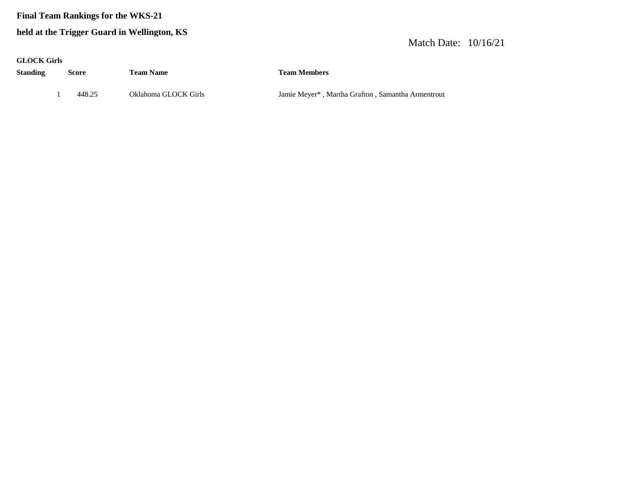## **Final Team Rankings for the WKS-21**

## **held at the Trigger Guard in Wellington, KS**

## Match Date: 10/16/21

#### **GLOCK Girls**

| Standing | Score  | <b>Team Name</b>     | <b>Team Members</b>                               |
|----------|--------|----------------------|---------------------------------------------------|
|          | 448.25 | Oklahoma GLOCK Girls | Jamie Meyer*, Martha Grafton, Samantha Armentrout |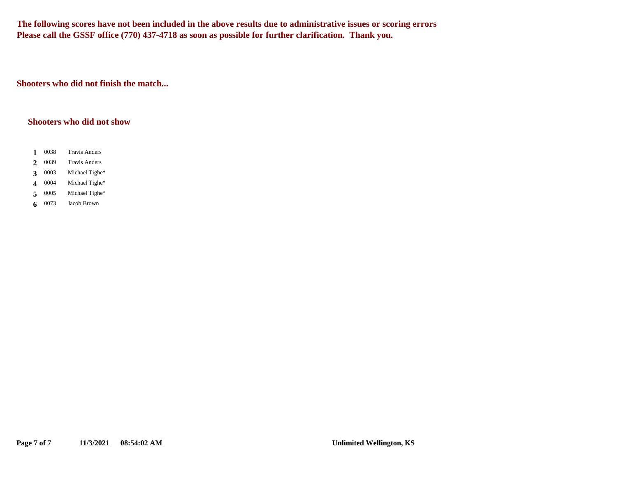**The following scores have not been included in the above results due to administrative issues or scoring errors Please call the GSSF office (770) 437-4718 as soon as possible for further clarification. Thank you.**

**Shooters who did not finish the match...**

#### **Shooters who did not show**

- 1 0038 **1** Travis Anders
- 0039 2 0039 Travis Anders
- 0003 **3** Michael Tighe\*
- 0004 4 0004 Michael Tighe\*
- 0005 5 0005 Michael Tighe\*
- **6** 0073 Jacob Brown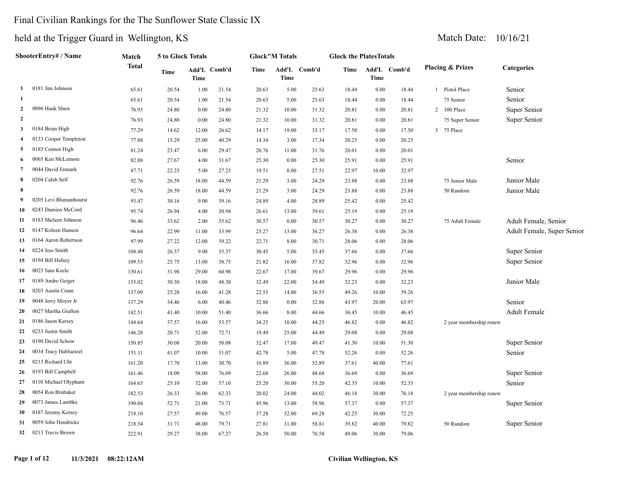## Final Civilian Rankings for the The Sunflower State Classic IX

| Match Date: $10/16/2$ |  |
|-----------------------|--|

|                         | ShooterEntry# / Name   | Match        | 5 to Glock Totals |       |              |       | <b>Glock</b> "M Totals |              | <b>Glock the PlatesTotals</b> |       |              |              |                             |                            |
|-------------------------|------------------------|--------------|-------------------|-------|--------------|-------|------------------------|--------------|-------------------------------|-------|--------------|--------------|-----------------------------|----------------------------|
|                         |                        | <b>Total</b> | Time              | Time  | Add'L Comb'd | Time  | <b>Time</b>            | Add'L Comb'd | Time                          | Time  | Add'L Comb'd |              | <b>Placing &amp; Prizes</b> | <b>Categories</b>          |
| 1                       | 0181 Jim Johnson       | 65.61        | 20.54             | 1.00  | 21.54        | 20.63 | 5.00                   | 25.63        | 18.44                         | 0.00  | 18.44        |              | 1 Pistol Place              | Senior                     |
| -1                      |                        | 65.61        | 20.54             | 1.00  | 21.54        | 20.63 | 5.00                   | 25.63        | 18.44                         | 0.00  | 18.44        |              | 75 Senior                   | Senior                     |
| $\overline{2}$          | 0096 Hank Shaw         | 76.93        | 24.80             | 0.00  | 24.80        | 21.32 | 10.00                  | 31.32        | 20.81                         | 0.00  | 20.81        |              | 100 Place<br>$\overline{2}$ | Super Senior               |
| $\overline{2}$          |                        | 76.93        | 24.80             | 0.00  | 24.80        | 21.32 | 10.00                  | 31.32        | 20.81                         | 0.00  | 20.81        |              | 75 Super Senior             | Super Senior               |
| 3                       | 0184 Brian High        | 77.29        | 14.62             | 12.00 | 26.62        | 14.17 | 19.00                  | 33.17        | 17.50                         | 0.00  | 17.50        | $\mathbf{3}$ | 75 Place                    |                            |
| $\overline{\mathbf{4}}$ | 0133 Cooper Templeton  | 77.88        | 15.29             | 25.00 | 40.29        | 14.34 | 3.00                   | 17.34        | 20.25                         | 0.00  | 20.25        |              |                             |                            |
| 5                       | 0185 Connor High       | 81.24        | 23.47             | 6.00  | 29.47        | 20.76 | 11.00                  | 31.76        | 20.01                         | 0.00  | 20.01        |              |                             |                            |
| 6                       | 0065 Ken McLemore      | 82.88        | 27.67             | 4.00  | 31.67        | 25.30 | 0.00                   | 25.30        | 25.91                         | 0.00  | 25.91        |              |                             | Senior                     |
| $\overline{7}$          | 0044 David Enmark      | 87.71        | 22.23             | 5.00  | 27.23        | 19.51 | 8.00                   | 27.51        | 22.97                         | 10.00 | 32.97        |              |                             |                            |
| 8                       | 0204 Caleb Self        | 92.76        | 26.59             | 18.00 | 44.59        | 21.29 | 3.00                   | 24.29        | 23.88                         | 0.00  | 23.88        |              | 75 Junior Male              | Junior Male                |
| 8                       |                        | 92.76        | 26.59             | 18.00 | 44.59        | 21.29 | 3.00                   | 24.29        | 23.88                         | 0.00  | 23.88        |              | 50 Random                   | Junior Male                |
| -9                      | 0205 Levi Blumanhourst | 93.47        | 30.16             | 9.00  | 39.16        | 24.89 | 4.00                   | 28.89        | 25.42                         | 0.00  | 25.42        |              |                             |                            |
| 10                      | 0243 Damien McCord     | 95.74        | 26.94             | 4.00  | 30.94        | 26.61 | 13.00                  | 39.61        | 25.19                         | 0.00  | 25.19        |              |                             |                            |
| 11                      | 0183 Sheleen Johnson   | 96.46        | 33.62             | 2.00  | 35.62        | 30.57 | 0.00                   | 30.57        | 30.27                         | 0.00  | 30.27        |              | 75 Adult Female             | Adult Female, Senior       |
| 12                      | 0147 Koleen Hansen     | 96.64        | 22.99             | 11.00 | 33.99        | 23.27 | 13.00                  | 36.27        | 26.38                         | 0.00  | 26.38        |              |                             | Adult Female, Super Senior |
| 13                      | 0164 Aaron Robertson   | 97.99        | 27.22             | 12.00 | 39.22        | 22.71 | 8.00                   | 30.71        | 28.06                         | 0.00  | 28.06        |              |                             |                            |
| 14                      | 0224 Jess Smith        | 108.48       | 26.37             | 9.00  | 35.37        | 30.45 | 5.00                   | 35.45        | 37.66                         | 0.00  | 37.66        |              |                             | Super Senior               |
| 15                      | 0194 Bill Hulsey       | 109.53       | 25.75             | 13.00 | 38.75        | 21.82 | 16.00                  | 37.82        | 32.96                         | 0.00  | 32.96        |              |                             | Super Senior               |
| 16                      | 0023 Sam Keele         | 130.61       | 31.98             | 29.00 | 60.98        | 22.67 | 17.00                  | 39.67        | 29.96                         | 0.00  | 29.96        |              |                             |                            |
| 17                      | 0189 Andre Geiger      | 135.02       | 30.30             | 18.00 | 48.30        | 32.49 | 22.00                  | 54.49        | 32.23                         | 0.00  | 32.23        |              |                             | Junior Male                |
| 18                      | 0203 Austin Crane      | 137.09       | 25.28             | 16.00 | 41.28        | 22.55 | 14.00                  | 36.55        | 49.26                         | 10.00 | 59.26        |              |                             |                            |
| 19                      | 0048 Jerry Moyer Jr    | 137.29       | 34.46             | 6.00  | 40.46        | 32.86 | 0.00                   | 32.86        | 43.97                         | 20.00 | 63.97        |              |                             | Senior                     |
| 20                      | 0027 Martha Grafton    | 142.51       | 41.40             | 10.00 | 51.40        | 36.66 | 8.00                   | 44.66        | 36.45                         | 10.00 | 46.45        |              |                             | <b>Adult Female</b>        |
| 21                      | 0186 Jason Kersey      | 144.64       | 37.57             | 16.00 | 53.57        | 34.25 | 10.00                  | 44.25        | 46.82                         | 0.00  | 46.82        |              | 2 year membership renew     |                            |
| 22                      | 0233 Justin Smith      | 146.28       | 20.71             | 52.00 | 72.71        | 19.49 | 25.00                  | 44.49        | 29.08                         | 0.00  | 29.08        |              |                             |                            |
| 23                      | 0190 David Schow       | 150.85       | 30.08             | 20.00 | 50.08        | 32.47 | 17.00                  | 49.47        | 41.30                         | 10.00 | 51.30        |              |                             | Super Senior               |
| 24                      | 0034 Tracy Habluetzel  | 151.11       | 41.07             | 10.00 | 51.07        | 42.78 | 5.00                   | 47.78        | 52.26                         | 0.00  | 52.26        |              |                             | Senior                     |
| 25                      | 0215 Richard Uht       | 161.20       | 17.70             | 13.00 | 30.70        | 16.89 | 36.00                  | 52.89        | 37.61                         | 40.00 | 77.61        |              |                             |                            |
| 26                      | 0193 Bill Campbell     | 161.46       | 18.09             | 58.00 | 76.09        | 22.68 | 26.00                  | 48.68        | 36.69                         | 0.00  | 36.69        |              |                             | Super Senior               |
| 27                      | 0110 Michael Olyphant  | 164.65       | 25.10             | 32.00 | 57.10        | 25.20 | 30.00                  | 55.20        | 42.35                         | 10.00 | 52.35        |              |                             | Senior                     |
| 28                      | 0054 Ron Brubaker      | 182.53       | 26.33             | 36.00 | 62.33        | 20.02 | 24.00                  | 44.02        | 46.18                         | 30.00 | 76.18        |              | 2 year membership renew     |                            |
| 29                      | 0073 James Lambke      | 190.04       | 52.71             | 21.00 | 73.71        | 45.96 | 13.00                  | 58.96        | 57.37                         | 0.00  | 57.37        |              |                             | Super Senior               |
| 30                      | 0187 Jeremy Kersey     | 218.10       | 27.57             | 49.00 | 76.57        | 37.28 | 32.00                  | 69.28        | 42.25                         | 30.00 | 72.25        |              |                             |                            |
| 31                      | 0059 John Hendricks    | 218.34       | 31.71             | 48.00 | 79.71        | 27.81 | 31.00                  | 58.81        | 39.82                         | 40.00 | 79.82        |              | 50 Random                   | Super Senior               |
| 32                      | 0213 Travis Brown      | 222.91       | 29.27             | 38.00 | 67.27        | 26.58 | 50.00                  | 76.58        | 49.06                         | 30.00 | 79.06        |              |                             |                            |
|                         |                        |              |                   |       |              |       |                        |              |                               |       |              |              |                             |                            |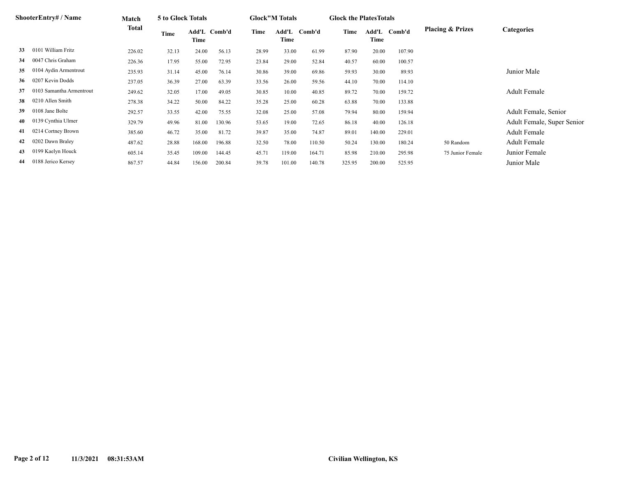|    | <b>ShooterEntry#/Name</b> | Match  | 5 to Glock Totals |        |              |       | <b>Glock"M Totals</b> |              | <b>Glock the Plates Totals</b> |        |              |                             |                            |
|----|---------------------------|--------|-------------------|--------|--------------|-------|-----------------------|--------------|--------------------------------|--------|--------------|-----------------------------|----------------------------|
|    |                           | Total  | Time              | Time   | Add'L Comb'd | Time  | Time                  | Add'L Comb'd | Time                           | Time   | Add'L Comb'd | <b>Placing &amp; Prizes</b> | <b>Categories</b>          |
| 33 | 0101 William Fritz        | 226.02 | 32.13             | 24.00  | 56.13        | 28.99 | 33.00                 | 61.99        | 87.90                          | 20.00  | 107.90       |                             |                            |
| 34 | 0047 Chris Graham         | 226.36 | 17.95             | 55.00  | 72.95        | 23.84 | 29.00                 | 52.84        | 40.57                          | 60.00  | 100.57       |                             |                            |
| 35 | 0104 Aydin Armentrout     | 235.93 | 31.14             | 45.00  | 76.14        | 30.86 | 39.00                 | 69.86        | 59.93                          | 30.00  | 89.93        |                             | Junior Male                |
|    | 36 0207 Kevin Dodds       | 237.05 | 36.39             | 27.00  | 63.39        | 33.56 | 26.00                 | 59.56        | 44.10                          | 70.00  | 114.10       |                             |                            |
| 37 | 0103 Samantha Armentrout  | 249.62 | 32.05             | 17.00  | 49.05        | 30.85 | 10.00                 | 40.85        | 89.72                          | 70.00  | 159.72       |                             | <b>Adult Female</b>        |
| 38 | 0210 Allen Smith          | 278.38 | 34.22             | 50.00  | 84.22        | 35.28 | 25.00                 | 60.28        | 63.88                          | 70.00  | 133.88       |                             |                            |
| 39 | 0108 Jane Bolte           | 292.57 | 33.55             | 42.00  | 75.55        | 32.08 | 25.00                 | 57.08        | 79.94                          | 80.00  | 159.94       |                             | Adult Female, Senior       |
| 40 | 0139 Cynthia Ulmer        | 329.79 | 49.96             | 81.00  | 130.96       | 53.65 | 19.00                 | 72.65        | 86.18                          | 40.00  | 126.18       |                             | Adult Female, Super Senior |
| 41 | 0214 Cortney Brown        | 385.60 | 46.72             | 35.00  | 81.72        | 39.87 | 35.00                 | 74.87        | 89.01                          | 140.00 | 229.01       |                             | <b>Adult Female</b>        |
|    | 0202 Dawn Braley          | 487.62 | 28.88             | 168.00 | 196.88       | 32.50 | 78.00                 | 110.50       | 50.24                          | 130.00 | 180.24       | 50 Random                   | <b>Adult Female</b>        |
| 43 | 0199 Kaelyn Houck         | 605.14 | 35.45             | 109.00 | 144.45       | 45.71 | 119.00                | 164.71       | 85.98                          | 210.00 | 295.98       | 75 Junior Female            | Junior Female              |
| 44 | 0188 Jerico Kersey        | 867.57 | 44.84             | 156.00 | 200.84       | 39.78 | 101.00                | 140.78       | 325.95                         | 200.00 | 525.95       |                             | Junior Male                |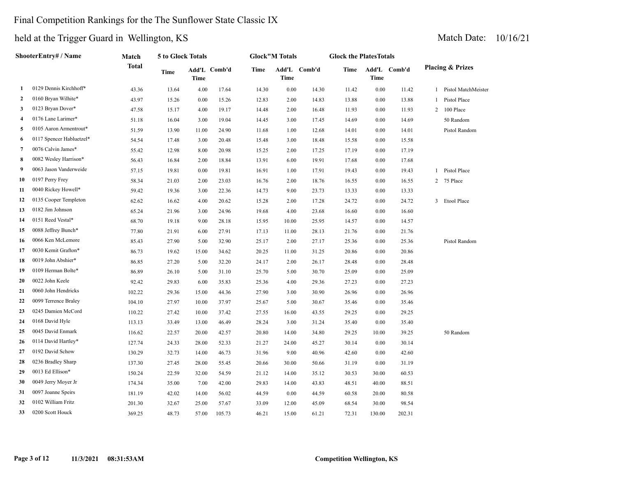#### Final Competition Rankings for the The Sunflower State Classic IX

held at the Trigger Guard in Wellington, KS Match Date: 10/16/21

| nera at the Trigger Guard in Wennigton, RS<br><b>IVIAWII DAW.</b> |                           |              |                   |       |              |       |                       |              |                               |             |              |   |                             |
|-------------------------------------------------------------------|---------------------------|--------------|-------------------|-------|--------------|-------|-----------------------|--------------|-------------------------------|-------------|--------------|---|-----------------------------|
|                                                                   | <b>ShooterEntry#/Name</b> | Match        | 5 to Glock Totals |       |              |       | <b>Glock"M Totals</b> |              | <b>Glock the PlatesTotals</b> |             |              |   |                             |
|                                                                   |                           | <b>Total</b> | <b>Time</b>       | Time  | Add'L Comb'd | Time  | <b>Time</b>           | Add'L Comb'd | Time                          | <b>Time</b> | Add'L Comb'd |   | <b>Placing &amp; Prizes</b> |
| 1                                                                 | 0129 Dennis Kirchhoff*    | 43.36        | 13.64             | 4.00  | 17.64        | 14.30 | 0.00                  | 14.30        | 11.42                         | 0.00        | 11.42        |   | Pistol MatchMeister         |
| $\mathbf{2}$                                                      | 0160 Bryan Wilhite*       | 43.97        | 15.26             | 0.00  | 15.26        | 12.83 | 2.00                  | 14.83        | 13.88                         | 0.00        | 13.88        | 1 | Pistol Place                |
| 3                                                                 | 0123 Bryan Dover*         | 47.58        | 15.17             | 4.00  | 19.17        | 14.48 | 2.00                  | 16.48        | 11.93                         | 0.00        | 11.93        | 2 | 100 Place                   |
| 4                                                                 | 0176 Lane Larimer*        | 51.18        | 16.04             | 3.00  | 19.04        | 14.45 | 3.00                  | 17.45        | 14.69                         | 0.00        | 14.69        |   | 50 Random                   |
| 5                                                                 | 0105 Aaron Armentrout*    | 51.59        | 13.90             | 11.00 | 24.90        | 11.68 | 1.00                  | 12.68        | 14.01                         | 0.00        | 14.01        |   | Pistol Random               |
| 6                                                                 | 0117 Spencer Habluetzel*  | 54.54        | 17.48             | 3.00  | 20.48        | 15.48 | 3.00                  | 18.48        | 15.58                         | 0.00        | 15.58        |   |                             |
| 7                                                                 | 0076 Calvin James*        | 55.42        | 12.98             | 8.00  | 20.98        | 15.25 | 2.00                  | 17.25        | 17.19                         | 0.00        | 17.19        |   |                             |
| 8                                                                 | 0082 Wesley Harrison*     | 56.43        | 16.84             | 2.00  | 18.84        | 13.91 | 6.00                  | 19.91        | 17.68                         | 0.00        | 17.68        |   |                             |
| 9                                                                 | 0063 Jason Vanderweide    | 57.15        | 19.81             | 0.00  | 19.81        | 16.91 | 1.00                  | 17.91        | 19.43                         | 0.00        | 19.43        |   | Pistol Place                |
| 10                                                                | 0197 Perry Frey           | 58.34        | 21.03             | 2.00  | 23.03        | 16.76 | 2.00                  | 18.76        | 16.55                         | 0.00        | 16.55        |   | 2 75 Place                  |
| 11                                                                | 0040 Rickey Howell*       | 59.42        | 19.36             | 3.00  | 22.36        | 14.73 | 9.00                  | 23.73        | 13.33                         | 0.00        | 13.33        |   |                             |
| 12                                                                | 0135 Cooper Templeton     | 62.62        | 16.62             | 4.00  | 20.62        | 15.28 | 2.00                  | 17.28        | 24.72                         | 0.00        | 24.72        |   | 3 Etool Place               |
| 13                                                                | 0182 Jim Johnson          | 65.24        | 21.96             | 3.00  | 24.96        | 19.68 | 4.00                  | 23.68        | 16.60                         | 0.00        | 16.60        |   |                             |
| 14                                                                | 0151 Reed Vestal*         | 68.70        | 19.18             | 9.00  | 28.18        | 15.95 | 10.00                 | 25.95        | 14.57                         | 0.00        | 14.57        |   |                             |
| 15                                                                | 0088 Jeffrey Bunch*       | 77.80        | 21.91             | 6.00  | 27.91        | 17.13 | 11.00                 | 28.13        | 21.76                         | 0.00        | 21.76        |   |                             |
| 16                                                                | 0066 Ken McLemore         | 85.43        | 27.90             | 5.00  | 32.90        | 25.17 | 2.00                  | 27.17        | 25.36                         | 0.00        | 25.36        |   | Pistol Random               |
| 17                                                                | 0030 Kemit Grafton*       | 86.73        | 19.62             | 15.00 | 34.62        | 20.25 | 11.00                 | 31.25        | 20.86                         | 0.00        | 20.86        |   |                             |
| 18                                                                | 0019 John Abshier*        | 86.85        | 27.20             | 5.00  | 32.20        | 24.17 | 2.00                  | 26.17        | 28.48                         | 0.00        | 28.48        |   |                             |
| 19                                                                | 0109 Herman Bolte*        | 86.89        | 26.10             | 5.00  | 31.10        | 25.70 | 5.00                  | 30.70        | 25.09                         | 0.00        | 25.09        |   |                             |
| 20                                                                | 0022 John Keele           | 92.42        | 29.83             | 6.00  | 35.83        | 25.36 | 4.00                  | 29.36        | 27.23                         | 0.00        | 27.23        |   |                             |
| 21                                                                | 0060 John Hendricks       | 102.22       | 29.36             | 15.00 | 44.36        | 27.90 | 3.00                  | 30.90        | 26.96                         | 0.00        | 26.96        |   |                             |

 0099 Terrence Braley 104.10 27.97 10.00 37.97 25.67 5.00 30.67 35.46 0.00 35.46 0245 Damien McCord 110.22 27.42 10.00 37.42 27.55 16.00 43.55 29.25 0.00 29.25 0168 David Hyle 113.13 33.49 13.00 46.49 28.24 3.00 31.24 35.40 0.00 35.40

 0114 David Hartley\* 127.74 24.33 28.00 52.33 21.27 24.00 45.27 30.14 0.00 30.14 0192 David Schow 130.29 32.73 14.00 46.73 31.96 9.00 40.96 42.60 0.00 42.60 0236 Bradley Sharp 137.30 27.45 28.00 55.45 20.66 30.00 50.66 31.19 0.00 31.19 0013 Ed Ellison\* 150.24 22.59 32.00 54.59 21.12 14.00 35.12 30.53 30.00 60.53 0049 Jerry Moyer Jr 174.34 35.00 7.00 42.00 29.83 14.00 43.83 48.51 40.00 88.51 0097 Joanne Speirs 181.19 42.02 14.00 56.02 44.59 0.00 44.59 60.58 20.00 80.58 0102 William Fritz 201.30 32.67 25.00 57.67 33.09 12.00 45.09 68.54 30.00 98.54 0200 Scott Houck 369.25 48.73 57.00 105.73 46.21 15.00 61.21 72.31 130.00 202.31

0045 David Enmark 116.62 22.57 20.00 42.57 20.80 14.00 34.80 29.25 10.00 39.25 50 Random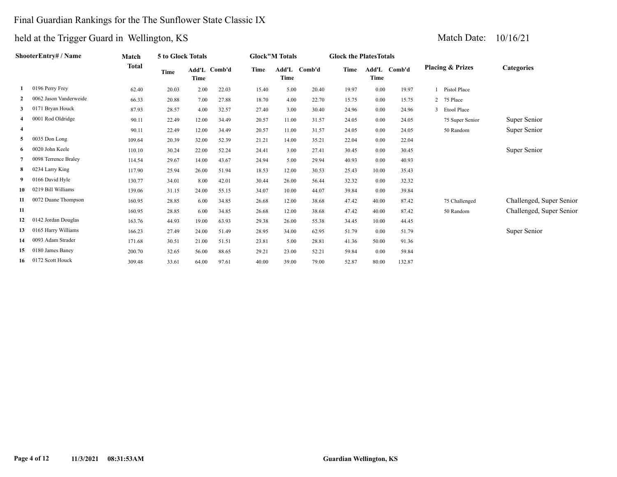## Final Guardian Rankings for the The Sunflower State Classic IX

|                         | ShooterEntry# / Name   | Match        | 5 to Glock Totals |       |              |       | <b>Glock</b> "M Totals |              | <b>Glock the PlatesTotals</b> |       |              |                             |                          |
|-------------------------|------------------------|--------------|-------------------|-------|--------------|-------|------------------------|--------------|-------------------------------|-------|--------------|-----------------------------|--------------------------|
|                         |                        | <b>Total</b> | Time              | Time  | Add'L Comb'd | Time  | Time                   | Add'L Comb'd | Time                          | Time  | Add'L Comb'd | <b>Placing &amp; Prizes</b> | <b>Categories</b>        |
|                         | 0196 Perry Frey        | 62.40        | 20.03             | 2.00  | 22.03        | 15.40 | 5.00                   | 20.40        | 19.97                         | 0.00  | 19.97        | Pistol Place                |                          |
|                         | 0062 Jason Vanderweide | 66.33        | 20.88             | 7.00  | 27.88        | 18.70 | 4.00                   | 22.70        | 15.75                         | 0.00  | 15.75        | 2 75 Place                  |                          |
| 3                       | 0171 Bryan Houck       | 87.93        | 28.57             | 4.00  | 32.57        | 27.40 | 3.00                   | 30.40        | 24.96                         | 0.00  | 24.96        | 3 Etool Place               |                          |
|                         | 0001 Rod Oldridge      | 90.11        | 22.49             | 12.00 | 34.49        | 20.57 | 11.00                  | 31.57        | 24.05                         | 0.00  | 24.05        | 75 Super Senior             | Super Senior             |
| $\overline{\mathbf{4}}$ |                        | 90.11        | 22.49             | 12.00 | 34.49        | 20.57 | 11.00                  | 31.57        | 24.05                         | 0.00  | 24.05        | 50 Random                   | Super Senior             |
| 5                       | 0035 Don Long          | 109.64       | 20.39             | 32.00 | 52.39        | 21.21 | 14.00                  | 35.21        | 22.04                         | 0.00  | 22.04        |                             |                          |
| 6                       | 0020 John Keele        | 110.10       | 30.24             | 22.00 | 52.24        | 24.41 | 3.00                   | 27.41        | 30.45                         | 0.00  | 30.45        |                             | Super Senior             |
|                         | 0098 Terrence Braley   | 114.54       | 29.67             | 14.00 | 43.67        | 24.94 | 5.00                   | 29.94        | 40.93                         | 0.00  | 40.93        |                             |                          |
| 8                       | 0234 Larry King        | 117.90       | 25.94             | 26.00 | 51.94        | 18.53 | 12.00                  | 30.53        | 25.43                         | 10.00 | 35.43        |                             |                          |
| 9                       | 0166 David Hyle        | 130.77       | 34.01             | 8.00  | 42.01        | 30.44 | 26.00                  | 56.44        | 32.32                         | 0.00  | 32.32        |                             |                          |
| 10                      | 0219 Bill Williams     | 139.06       | 31.15             | 24.00 | 55.15        | 34.07 | 10.00                  | 44.07        | 39.84                         | 0.00  | 39.84        |                             |                          |
| 11                      | 0072 Duane Thompson    | 160.95       | 28.85             | 6.00  | 34.85        | 26.68 | 12.00                  | 38.68        | 47.42                         | 40.00 | 87.42        | 75 Challenged               | Challenged, Super Senior |
| 11                      |                        | 160.95       | 28.85             | 6.00  | 34.85        | 26.68 | 12.00                  | 38.68        | 47.42                         | 40.00 | 87.42        | 50 Random                   | Challenged, Super Senior |
| 12                      | 0142 Jordan Douglas    | 163.76       | 44.93             | 19.00 | 63.93        | 29.38 | 26.00                  | 55.38        | 34.45                         | 10.00 | 44.45        |                             |                          |
| 13                      | 0165 Harry Williams    | 166.23       | 27.49             | 24.00 | 51.49        | 28.95 | 34.00                  | 62.95        | 51.79                         | 0.00  | 51.79        |                             | Super Senior             |
| 14                      | 0093 Adam Strader      | 171.68       | 30.51             | 21.00 | 51.51        | 23.81 | 5.00                   | 28.81        | 41.36                         | 50.00 | 91.36        |                             |                          |
| 15                      | 0180 James Baney       | 200.70       | 32.65             | 56.00 | 88.65        | 29.21 | 23.00                  | 52.21        | 59.84                         | 0.00  | 59.84        |                             |                          |
| 16                      | 0172 Scott Houck       | 309.48       | 33.61             | 64.00 | 97.61        | 40.00 | 39.00                  | 79.00        | 52.87                         | 80.00 | 132.87       |                             |                          |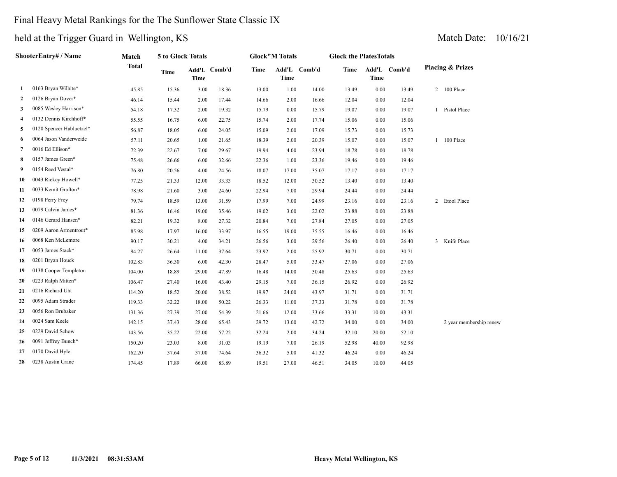## Final Heavy Metal Rankings for the The Sunflower State Classic IX

|                | <b>ShooterEntry# / Name</b> | Match        | 5 to Glock Totals |             |              |       | <b>Glock</b> "M Totals |              | <b>Glock the PlatesTotals</b> |             |              |                             |
|----------------|-----------------------------|--------------|-------------------|-------------|--------------|-------|------------------------|--------------|-------------------------------|-------------|--------------|-----------------------------|
|                |                             | <b>Total</b> | <b>Time</b>       | <b>Time</b> | Add'L Comb'd | Time  | <b>Time</b>            | Add'L Comb'd | Time                          | <b>Time</b> | Add'L Comb'd | <b>Placing &amp; Prizes</b> |
| 1              | 0163 Bryan Wilhite*         | 45.85        | 15.36             | 3.00        | 18.36        | 13.00 | 1.00                   | 14.00        | 13.49                         | 0.00        | 13.49        | 2 100 Place                 |
| 2              | 0126 Bryan Dover*           | 46.14        | 15.44             | 2.00        | 17.44        | 14.66 | 2.00                   | 16.66        | 12.04                         | 0.00        | 12.04        |                             |
| 3              | 0085 Wesley Harrison*       | 54.18        | 17.32             | 2.00        | 19.32        | 15.79 | 0.00                   | 15.79        | 19.07                         | 0.00        | 19.07        | 1 Pistol Place              |
| 4              | 0132 Dennis Kirchhoff*      | 55.55        | 16.75             | 6.00        | 22.75        | 15.74 | 2.00                   | 17.74        | 15.06                         | 0.00        | 15.06        |                             |
| 5              | 0120 Spencer Habluetzel*    | 56.87        | 18.05             | 6.00        | 24.05        | 15.09 | 2.00                   | 17.09        | 15.73                         | 0.00        | 15.73        |                             |
| 6              | 0064 Jason Vanderweide      | 57.11        | 20.65             | 1.00        | 21.65        | 18.39 | 2.00                   | 20.39        | 15.07                         | 0.00        | 15.07        | 1 100 Place                 |
| $\overline{7}$ | 0016 Ed Ellison*            | 72.39        | 22.67             | 7.00        | 29.67        | 19.94 | 4.00                   | 23.94        | 18.78                         | 0.00        | 18.78        |                             |
| 8              | 0157 James Green*           | 75.48        | 26.66             | 6.00        | 32.66        | 22.36 | 1.00                   | 23.36        | 19.46                         | 0.00        | 19.46        |                             |
| 9              | 0154 Reed Vestal*           | 76.80        | 20.56             | 4.00        | 24.56        | 18.07 | 17.00                  | 35.07        | 17.17                         | 0.00        | 17.17        |                             |
| 10             | 0043 Rickey Howell*         | 77.25        | 21.33             | 12.00       | 33.33        | 18.52 | 12.00                  | 30.52        | 13.40                         | 0.00        | 13.40        |                             |
| 11             | 0033 Kemit Grafton*         | 78.98        | 21.60             | 3.00        | 24.60        | 22.94 | 7.00                   | 29.94        | 24.44                         | 0.00        | 24.44        |                             |
| 12             | 0198 Perry Frey             | 79.74        | 18.59             | 13.00       | 31.59        | 17.99 | 7.00                   | 24.99        | 23.16                         | 0.00        | 23.16        | 2 Etool Place               |
| 13             | 0079 Calvin James*          | 81.36        | 16.46             | 19.00       | 35.46        | 19.02 | 3.00                   | 22.02        | 23.88                         | 0.00        | 23.88        |                             |
| 14             | 0146 Gerard Hansen*         | 82.21        | 19.32             | 8.00        | 27.32        | 20.84 | 7.00                   | 27.84        | 27.05                         | $0.00\,$    | 27.05        |                             |
| 15             | 0209 Aaron Armentrout*      | 85.98        | 17.97             | 16.00       | 33.97        | 16.55 | 19.00                  | 35.55        | 16.46                         | 0.00        | 16.46        |                             |
| 16             | 0068 Ken McLemore           | 90.17        | 30.21             | 4.00        | 34.21        | 26.56 | 3.00                   | 29.56        | 26.40                         | 0.00        | 26.40        | 3 Knife Place               |
| 17             | 0053 James Stack*           | 94.27        | 26.64             | 11.00       | 37.64        | 23.92 | 2.00                   | 25.92        | 30.71                         | 0.00        | 30.71        |                             |
| 18             | 0201 Bryan Houck            | 102.83       | 36.30             | 6.00        | 42.30        | 28.47 | 5.00                   | 33.47        | 27.06                         | 0.00        | 27.06        |                             |
| 19             | 0138 Cooper Templeton       | 104.00       | 18.89             | 29.00       | 47.89        | 16.48 | 14.00                  | 30.48        | 25.63                         | 0.00        | 25.63        |                             |
| 20             | 0223 Ralph Mitten*          | 106.47       | 27.40             | 16.00       | 43.40        | 29.15 | 7.00                   | 36.15        | 26.92                         | 0.00        | 26.92        |                             |
| 21             | 0216 Richard Uht            | 114.20       | 18.52             | 20.00       | 38.52        | 19.97 | 24.00                  | 43.97        | 31.71                         | 0.00        | 31.71        |                             |
| 22             | 0095 Adam Strader           | 119.33       | 32.22             | 18.00       | 50.22        | 26.33 | 11.00                  | 37.33        | 31.78                         | 0.00        | 31.78        |                             |
| 23             | 0056 Ron Brubaker           | 131.36       | 27.39             | 27.00       | 54.39        | 21.66 | 12.00                  | 33.66        | 33.31                         | 10.00       | 43.31        |                             |
| 24             | 0024 Sam Keele              | 142.15       | 37.43             | 28.00       | 65.43        | 29.72 | 13.00                  | 42.72        | 34.00                         | 0.00        | 34.00        | 2 year membership renew     |
| 25             | 0229 David Schow            | 143.56       | 35.22             | 22.00       | 57.22        | 32.24 | 2.00                   | 34.24        | 32.10                         | 20.00       | 52.10        |                             |
| 26             | 0091 Jeffrey Bunch*         | 150.20       | 23.03             | 8.00        | 31.03        | 19.19 | 7.00                   | 26.19        | 52.98                         | 40.00       | 92.98        |                             |
| 27             | 0170 David Hyle             | 162.20       | 37.64             | 37.00       | 74.64        | 36.32 | 5.00                   | 41.32        | 46.24                         | 0.00        | 46.24        |                             |
| 28             | 0238 Austin Crane           | 174.45       | 17.89             | 66.00       | 83.89        | 19.51 | 27.00                  | 46.51        | 34.05                         | 10.00       | 44.05        |                             |
|                |                             |              |                   |             |              |       |                        |              |                               |             |              |                             |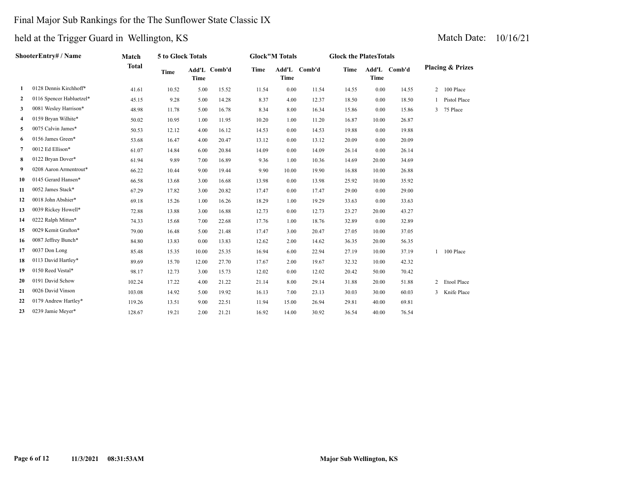## Final Major Sub Rankings for the The Sunflower State Classic IX

|    | ShooterEntry# / Name     | Match        | 5 to Glock Totals |                      |        |       | <b>Glock"M Totals</b> |              | <b>Glock the PlatesTotals</b> |       |              |   |                             |
|----|--------------------------|--------------|-------------------|----------------------|--------|-------|-----------------------|--------------|-------------------------------|-------|--------------|---|-----------------------------|
|    |                          | <b>Total</b> | <b>Time</b>       | Add'L<br><b>Time</b> | Comb'd | Time  | Time                  | Add'L Comb'd | Time                          | Time  | Add'L Comb'd |   | <b>Placing &amp; Prizes</b> |
| 1  | 0128 Dennis Kirchhoff*   | 41.61        | 10.52             | 5.00                 | 15.52  | 11.54 | 0.00                  | 11.54        | 14.55                         | 0.00  | 14.55        |   | 2 100 Place                 |
| 2  | 0116 Spencer Habluetzel* | 45.15        | 9.28              | 5.00                 | 14.28  | 8.37  | 4.00                  | 12.37        | 18.50                         | 0.00  | 18.50        |   | Pistol Place                |
| 3  | 0081 Wesley Harrison*    | 48.98        | 11.78             | 5.00                 | 16.78  | 8.34  | 8.00                  | 16.34        | 15.86                         | 0.00  | 15.86        |   | 3 75 Place                  |
| 4  | 0159 Bryan Wilhite*      | 50.02        | 10.95             | 1.00                 | 11.95  | 10.20 | 1.00                  | 11.20        | 16.87                         | 10.00 | 26.87        |   |                             |
| 5  | 0075 Calvin James*       | 50.53        | 12.12             | 4.00                 | 16.12  | 14.53 | 0.00                  | 14.53        | 19.88                         | 0.00  | 19.88        |   |                             |
| 6  | 0156 James Green*        | 53.68        | 16.47             | 4.00                 | 20.47  | 13.12 | 0.00                  | 13.12        | 20.09                         | 0.00  | 20.09        |   |                             |
| 7  | 0012 Ed Ellison*         | 61.07        | 14.84             | 6.00                 | 20.84  | 14.09 | 0.00                  | 14.09        | 26.14                         | 0.00  | 26.14        |   |                             |
| 8  | 0122 Bryan Dover*        | 61.94        | 9.89              | 7.00                 | 16.89  | 9.36  | 1.00                  | 10.36        | 14.69                         | 20.00 | 34.69        |   |                             |
| 9  | 0208 Aaron Armentrout*   | 66.22        | 10.44             | 9.00                 | 19.44  | 9.90  | 10.00                 | 19.90        | 16.88                         | 10.00 | 26.88        |   |                             |
| 10 | 0145 Gerard Hansen*      | 66.58        | 13.68             | 3.00                 | 16.68  | 13.98 | 0.00                  | 13.98        | 25.92                         | 10.00 | 35.92        |   |                             |
| 11 | 0052 James Stack*        | 67.29        | 17.82             | 3.00                 | 20.82  | 17.47 | 0.00                  | 17.47        | 29.00                         | 0.00  | 29.00        |   |                             |
| 12 | 0018 John Abshier*       | 69.18        | 15.26             | 1.00                 | 16.26  | 18.29 | 1.00                  | 19.29        | 33.63                         | 0.00  | 33.63        |   |                             |
| 13 | 0039 Rickey Howell*      | 72.88        | 13.88             | 3.00                 | 16.88  | 12.73 | 0.00                  | 12.73        | 23.27                         | 20.00 | 43.27        |   |                             |
| 14 | 0222 Ralph Mitten*       | 74.33        | 15.68             | 7.00                 | 22.68  | 17.76 | 1.00                  | 18.76        | 32.89                         | 0.00  | 32.89        |   |                             |
| 15 | 0029 Kemit Grafton*      | 79.00        | 16.48             | 5.00                 | 21.48  | 17.47 | 3.00                  | 20.47        | 27.05                         | 10.00 | 37.05        |   |                             |
| 16 | 0087 Jeffrey Bunch*      | 84.80        | 13.83             | 0.00                 | 13.83  | 12.62 | 2.00                  | 14.62        | 36.35                         | 20.00 | 56.35        |   |                             |
| 17 | 0037 Don Long            | 85.48        | 15.35             | 10.00                | 25.35  | 16.94 | 6.00                  | 22.94        | 27.19                         | 10.00 | 37.19        |   | 100 Place                   |
| 18 | 0113 David Hartley*      | 89.69        | 15.70             | 12.00                | 27.70  | 17.67 | 2.00                  | 19.67        | 32.32                         | 10.00 | 42.32        |   |                             |
| 19 | 0150 Reed Vestal*        | 98.17        | 12.73             | 3.00                 | 15.73  | 12.02 | 0.00                  | 12.02        | 20.42                         | 50.00 | 70.42        |   |                             |
| 20 | 0191 David Schow         | 102.24       | 17.22             | 4.00                 | 21.22  | 21.14 | 8.00                  | 29.14        | 31.88                         | 20.00 | 51.88        |   | 2 Etool Place               |
| 21 | 0026 David Vinson        | 103.08       | 14.92             | 5.00                 | 19.92  | 16.13 | 7.00                  | 23.13        | 30.03                         | 30.00 | 60.03        | 3 | Knife Place                 |
| 22 | 0179 Andrew Hartley*     | 119.26       | 13.51             | 9.00                 | 22.51  | 11.94 | 15.00                 | 26.94        | 29.81                         | 40.00 | 69.81        |   |                             |
| 23 | 0239 Jamie Meyer*        | 128.67       | 19.21             | 2.00                 | 21.21  | 16.92 | 14.00                 | 30.92        | 36.54                         | 40.00 | 76.54        |   |                             |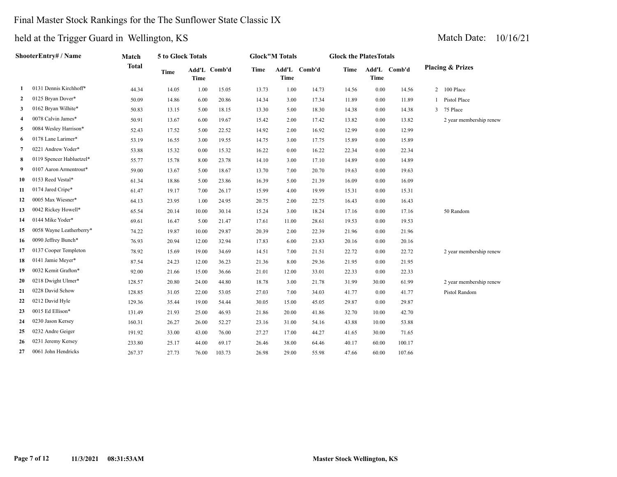## Final Master Stock Rankings for the The Sunflower State Classic IX

held at the Trigger Guard in Wellington, KS Match Date: 10/16/21

| ShooterEntry# / Name |                          | Match        | 5 to Glock Totals |             |              | <b>Glock</b> "M Totals |             |              | <b>Glock the PlatesTotals</b> |             |              |                             |  |
|----------------------|--------------------------|--------------|-------------------|-------------|--------------|------------------------|-------------|--------------|-------------------------------|-------------|--------------|-----------------------------|--|
|                      |                          | <b>Total</b> | <b>Time</b>       | <b>Time</b> | Add'L Comb'd | <b>Time</b>            | <b>Time</b> | Add'L Comb'd | Time                          | <b>Time</b> | Add'L Comb'd | <b>Placing &amp; Prizes</b> |  |
| -1                   | 0131 Dennis Kirchhoff*   | 44.34        | 14.05             | 1.00        | 15.05        | 13.73                  | 1.00        | 14.73        | 14.56                         | 0.00        | 14.56        | 2 100 Place                 |  |
| 2                    | 0125 Bryan Dover*        | 50.09        | 14.86             | 6.00        | 20.86        | 14.34                  | 3.00        | 17.34        | 11.89                         | 0.00        | 11.89        | Pistol Place                |  |
| 3                    | 0162 Bryan Wilhite*      | 50.83        | 13.15             | 5.00        | 18.15        | 13.30                  | 5.00        | 18.30        | 14.38                         | 0.00        | 14.38        | 75 Place<br>3               |  |
| 4                    | 0078 Calvin James*       | 50.91        | 13.67             | 6.00        | 19.67        | 15.42                  | 2.00        | 17.42        | 13.82                         | 0.00        | 13.82        | 2 year membership renew     |  |
| 5                    | 0084 Wesley Harrison*    | 52.43        | 17.52             | 5.00        | 22.52        | 14.92                  | 2.00        | 16.92        | 12.99                         | 0.00        | 12.99        |                             |  |
| 6                    | 0178 Lane Larimer*       | 53.19        | 16.55             | 3.00        | 19.55        | 14.75                  | 3.00        | 17.75        | 15.89                         | 0.00        | 15.89        |                             |  |
| 7                    | 0221 Andrew Yoder*       | 53.88        | 15.32             | 0.00        | 15.32        | 16.22                  | 0.00        | 16.22        | 22.34                         | 0.00        | 22.34        |                             |  |
| 8                    | 0119 Spencer Habluetzel* | 55.77        | 15.78             | 8.00        | 23.78        | 14.10                  | 3.00        | 17.10        | 14.89                         | 0.00        | 14.89        |                             |  |
| 9                    | 0107 Aaron Armentrout*   | 59.00        | 13.67             | 5.00        | 18.67        | 13.70                  | 7.00        | 20.70        | 19.63                         | 0.00        | 19.63        |                             |  |
| 10                   | 0153 Reed Vestal*        | 61.34        | 18.86             | 5.00        | 23.86        | 16.39                  | 5.00        | 21.39        | 16.09                         | 0.00        | 16.09        |                             |  |
| 11                   | 0174 Jared Cripe*        | 61.47        | 19.17             | 7.00        | 26.17        | 15.99                  | 4.00        | 19.99        | 15.31                         | 0.00        | 15.31        |                             |  |
| 12                   | 0005 Max Wiesner*        | 64.13        | 23.95             | 1.00        | 24.95        | 20.75                  | 2.00        | 22.75        | 16.43                         | 0.00        | 16.43        |                             |  |
| 13                   | 0042 Rickey Howell*      | 65.54        | 20.14             | 10.00       | 30.14        | 15.24                  | 3.00        | 18.24        | 17.16                         | 0.00        | 17.16        | 50 Random                   |  |
| 14                   | 0144 Mike Yoder*         | 69.61        | 16.47             | 5.00        | 21.47        | 17.61                  | 11.00       | 28.61        | 19.53                         | 0.00        | 19.53        |                             |  |
| 15                   | 0058 Wayne Leatherberry* | 74.22        | 19.87             | 10.00       | 29.87        | 20.39                  | 2.00        | 22.39        | 21.96                         | 0.00        | 21.96        |                             |  |
| 16                   | 0090 Jeffrey Bunch*      | 76.93        | 20.94             | 12.00       | 32.94        | 17.83                  | 6.00        | 23.83        | 20.16                         | 0.00        | 20.16        |                             |  |
| 17                   | 0137 Cooper Templeton    | 78.92        | 15.69             | 19.00       | 34.69        | 14.51                  | 7.00        | 21.51        | 22.72                         | 0.00        | 22.72        | 2 year membership renew     |  |
| 18                   | 0141 Jamie Meyer*        | 87.54        | 24.23             | 12.00       | 36.23        | 21.36                  | 8.00        | 29.36        | 21.95                         | 0.00        | 21.95        |                             |  |
| 19                   | 0032 Kemit Grafton*      | 92.00        | 21.66             | 15.00       | 36.66        | 21.01                  | 12.00       | 33.01        | 22.33                         | 0.00        | 22.33        |                             |  |
| 20                   | 0218 Dwight Ulmer*       | 128.57       | 20.80             | 24.00       | 44.80        | 18.78                  | 3.00        | 21.78        | 31.99                         | 30.00       | 61.99        | 2 year membership renew     |  |
| 21                   | 0228 David Schow         | 128.85       | 31.05             | 22.00       | 53.05        | 27.03                  | 7.00        | 34.03        | 41.77                         | 0.00        | 41.77        | Pistol Random               |  |
| 22                   | 0212 David Hyle          | 129.36       | 35.44             | 19.00       | 54.44        | 30.05                  | 15.00       | 45.05        | 29.87                         | 0.00        | 29.87        |                             |  |
| 23                   | 0015 Ed Ellison*         | 131.49       | 21.93             | 25.00       | 46.93        | 21.86                  | 20.00       | 41.86        | 32.70                         | 10.00       | 42.70        |                             |  |

 0230 Jason Kersey 160.31 26.27 26.00 52.27 23.16 31.00 54.16 43.88 10.00 53.88 0232 Andre Geiger 191.92 33.00 43.00 76.00 27.27 17.00 44.27 41.65 30.00 71.65 0231 Jeremy Kersey 233.80 25.17 44.00 69.17 26.46 38.00 64.46 40.17 60.00 100.17 0061 John Hendricks 267.37 27.73 76.00 103.73 26.98 29.00 55.98 47.66 60.00 107.66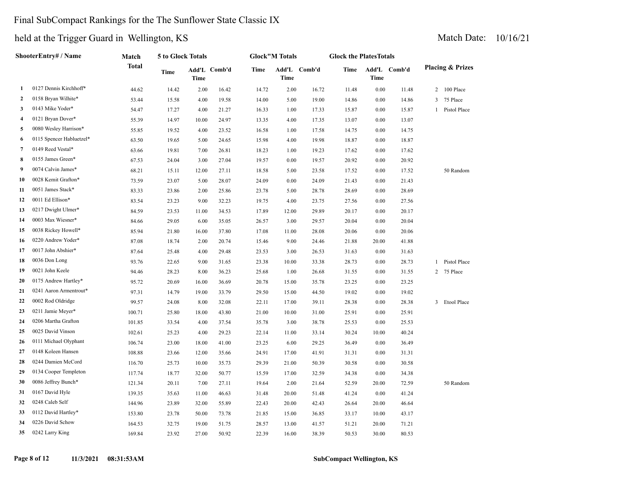## Final SubCompact Rankings for the The Sunflower State Classic IX

| ShooterEntry# / Name |                          | Match  | 5 to Glock Totals |             |              |       | <b>Glock"M Totals</b> |              |       | <b>Glock the PlatesTotals</b> |              |                             |                |
|----------------------|--------------------------|--------|-------------------|-------------|--------------|-------|-----------------------|--------------|-------|-------------------------------|--------------|-----------------------------|----------------|
|                      |                          | Total  | Time              | <b>Time</b> | Add'L Comb'd | Time  | Time                  | Add'L Comb'd | Time  | Time                          | Add'L Comb'd | <b>Placing &amp; Prizes</b> |                |
| 1                    | 0127 Dennis Kirchhoff*   | 44.62  | 14.42             | 2.00        | 16.42        | 14.72 | 2.00                  | 16.72        | 11.48 | 0.00                          | 11.48        | 2 100 Place                 |                |
| 2                    | 0158 Bryan Wilhite*      | 53.44  | 15.58             | 4.00        | 19.58        | 14.00 | 5.00                  | 19.00        | 14.86 | 0.00                          | 14.86        | 3 75 Place                  |                |
| 3                    | 0143 Mike Yoder*         | 54.47  | 17.27             | 4.00        | 21.27        | 16.33 | 1.00                  | 17.33        | 15.87 | 0.00                          | 15.87        |                             | 1 Pistol Place |
| 4                    | 0121 Bryan Dover*        | 55.39  | 14.97             | 10.00       | 24.97        | 13.35 | 4.00                  | 17.35        | 13.07 | 0.00                          | 13.07        |                             |                |
| 5                    | 0080 Wesley Harrison*    | 55.85  | 19.52             | 4.00        | 23.52        | 16.58 | 1.00                  | 17.58        | 14.75 | 0.00                          | 14.75        |                             |                |
| 6                    | 0115 Spencer Habluetzel* | 63.50  | 19.65             | 5.00        | 24.65        | 15.98 | 4.00                  | 19.98        | 18.87 | 0.00                          | 18.87        |                             |                |
| 7                    | 0149 Reed Vestal*        | 63.66  | 19.81             | 7.00        | 26.81        | 18.23 | 1.00                  | 19.23        | 17.62 | 0.00                          | 17.62        |                             |                |
| 8                    | 0155 James Green*        | 67.53  | 24.04             | 3.00        | 27.04        | 19.57 | 0.00                  | 19.57        | 20.92 | 0.00                          | 20.92        |                             |                |
| 9                    | 0074 Calvin James*       | 68.21  | 15.11             | 12.00       | 27.11        | 18.58 | 5.00                  | 23.58        | 17.52 | 0.00                          | 17.52        |                             | 50 Random      |
| 10                   | 0028 Kemit Grafton*      | 73.59  | 23.07             | 5.00        | 28.07        | 24.09 | 0.00                  | 24.09        | 21.43 | 0.00                          | 21.43        |                             |                |
| 11                   | 0051 James Stack*        | 83.33  | 23.86             | 2.00        | 25.86        | 23.78 | 5.00                  | 28.78        | 28.69 | 0.00                          | 28.69        |                             |                |
| 12                   | 0011 Ed Ellison*         | 83.54  | 23.23             | 9.00        | 32.23        | 19.75 | 4.00                  | 23.75        | 27.56 | 0.00                          | 27.56        |                             |                |
| 13                   | 0217 Dwight Ulmer*       | 84.59  | 23.53             | 11.00       | 34.53        | 17.89 | 12.00                 | 29.89        | 20.17 | 0.00                          | 20.17        |                             |                |
| 14                   | 0003 Max Wiesner*        | 84.66  | 29.05             | 6.00        | 35.05        | 26.57 | 3.00                  | 29.57        | 20.04 | 0.00                          | 20.04        |                             |                |
| 15                   | 0038 Rickey Howell*      | 85.94  | 21.80             | 16.00       | 37.80        | 17.08 | 11.00                 | 28.08        | 20.06 | 0.00                          | 20.06        |                             |                |
| 16                   | 0220 Andrew Yoder*       | 87.08  | 18.74             | 2.00        | 20.74        | 15.46 | 9.00                  | 24.46        | 21.88 | 20.00                         | 41.88        |                             |                |
| 17                   | 0017 John Abshier*       | 87.64  | 25.48             | 4.00        | 29.48        | 23.53 | 3.00                  | 26.53        | 31.63 | 0.00                          | 31.63        |                             |                |
| 18                   | 0036 Don Long            | 93.76  | 22.65             | 9.00        | 31.65        | 23.38 | 10.00                 | 33.38        | 28.73 | 0.00                          | 28.73        |                             | 1 Pistol Place |
| 19                   | 0021 John Keele          | 94.46  | 28.23             | 8.00        | 36.23        | 25.68 | 1.00                  | 26.68        | 31.55 | 0.00                          | 31.55        | 2 75 Place                  |                |
| 20                   | 0175 Andrew Hartley*     | 95.72  | 20.69             | 16.00       | 36.69        | 20.78 | 15.00                 | 35.78        | 23.25 | 0.00                          | 23.25        |                             |                |
| 21                   | 0241 Aaron Armentrout*   | 97.31  | 14.79             | 19.00       | 33.79        | 29.50 | 15.00                 | 44.50        | 19.02 | 0.00                          | 19.02        |                             |                |
| 22                   | 0002 Rod Oldridge        | 99.57  | 24.08             | 8.00        | 32.08        | 22.11 | 17.00                 | 39.11        | 28.38 | 0.00                          | 28.38        | 3 Etool Place               |                |
| 23                   | 0211 Jamie Meyer*        | 100.71 | 25.80             | 18.00       | 43.80        | 21.00 | 10.00                 | 31.00        | 25.91 | 0.00                          | 25.91        |                             |                |
| 24                   | 0206 Martha Grafton      | 101.85 | 33.54             | 4.00        | 37.54        | 35.78 | 3.00                  | 38.78        | 25.53 | 0.00                          | 25.53        |                             |                |
| 25                   | 0025 David Vinson        | 102.61 | 25.23             | 4.00        | 29.23        | 22.14 | 11.00                 | 33.14        | 30.24 | 10.00                         | 40.24        |                             |                |
| 26                   | 0111 Michael Olyphant    | 106.74 | 23.00             | 18.00       | 41.00        | 23.25 | 6.00                  | 29.25        | 36.49 | 0.00                          | 36.49        |                             |                |
| 27                   | 0148 Koleen Hansen       | 108.88 | 23.66             | 12.00       | 35.66        | 24.91 | 17.00                 | 41.91        | 31.31 | 0.00                          | 31.31        |                             |                |
| 28                   | 0244 Damien McCord       | 116.70 | 25.73             | 10.00       | 35.73        | 29.39 | 21.00                 | 50.39        | 30.58 | 0.00                          | 30.58        |                             |                |
| 29                   | 0134 Cooper Templeton    | 117.74 | 18.77             | 32.00       | 50.77        | 15.59 | 17.00                 | 32.59        | 34.38 | 0.00                          | 34.38        |                             |                |
| 30                   | 0086 Jeffrey Bunch*      | 121.34 | 20.11             | 7.00        | 27.11        | 19.64 | 2.00                  | 21.64        | 52.59 | 20.00                         | 72.59        |                             | 50 Random      |
| 31                   | 0167 David Hyle          | 139.35 | 35.63             | 11.00       | 46.63        | 31.48 | 20.00                 | 51.48        | 41.24 | 0.00                          | 41.24        |                             |                |
| 32                   | 0248 Caleb Self          | 144.96 | 23.89             | 32.00       | 55.89        | 22.43 | 20.00                 | 42.43        | 26.64 | 20.00                         | 46.64        |                             |                |
| 33                   | 0112 David Hartley*      | 153.80 | 23.78             | 50.00       | 73.78        | 21.85 | 15.00                 | 36.85        | 33.17 | 10.00                         | 43.17        |                             |                |
| 34                   | 0226 David Schow         | 164.53 | 32.75             | 19.00       | 51.75        | 28.57 | 13.00                 | 41.57        | 51.21 | 20.00                         | 71.21        |                             |                |
| 35                   | 0242 Larry King          | 169.84 | 23.92             | 27.00       | 50.92        | 22.39 | 16.00                 | 38.39        | 50.53 | 30.00                         | 80.53        |                             |                |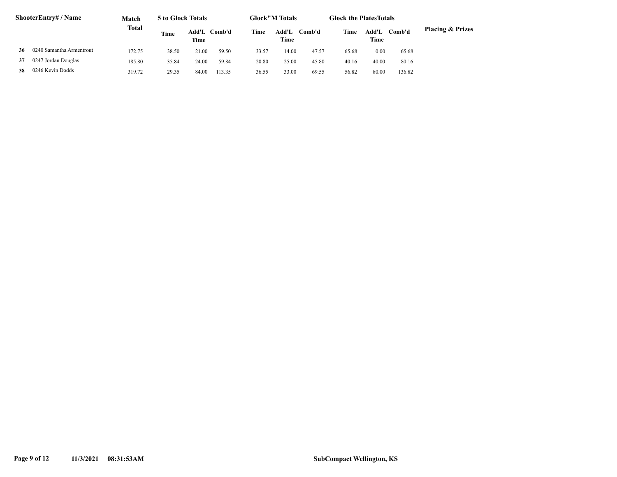| <b>ShooterEntry#/Name</b> |                          | Match        | 5 to Glock Totals |       |              | <b>Glock"M Totals</b> |               |        | <b>Glock the Plates Totals</b> |               |        |                             |
|---------------------------|--------------------------|--------------|-------------------|-------|--------------|-----------------------|---------------|--------|--------------------------------|---------------|--------|-----------------------------|
|                           |                          | <b>Total</b> | Time              | Time  | Add'L Comb'd | Time                  | Add'L<br>Time | Comb'd | Time                           | Add'L<br>Time | Comb'd | <b>Placing &amp; Prizes</b> |
| 36                        | 0240 Samantha Armentrout | 172.75       | 38.50             | 21.00 | 59.50        | 33.57                 | 14.00         | 47.57  | 65.68                          | 0.00          | 65.68  |                             |
| 37                        | 0247 Jordan Douglas      | 185.80       | 35.84             | 24.00 | 59.84        | 20.80                 | 25.00         | 45.80  | 40.16                          | 40.00         | 80.16  |                             |
| 38                        | 0246 Kevin Dodds         | 319.72       | 29.35             | 84.00 | 113.35       | 36.55                 | 33.00         | 69.55  | 56.82                          | 80.00         | 136.82 |                             |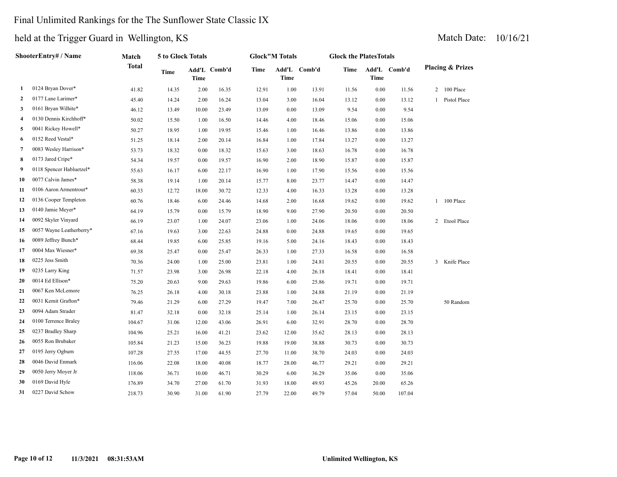## Final Unlimited Rankings for the The Sunflower State Classic IX

| held at the Trigger Guard in Wellington, KS | 10/16/21<br>Match Date: |                              |                         |                                |                             |
|---------------------------------------------|-------------------------|------------------------------|-------------------------|--------------------------------|-----------------------------|
| <b>ShooterEntry#/Name</b>                   | Match                   | 5 to Glock Totals            | <b>Glock"M Totals</b>   | <b>Glock the Plates Totals</b> |                             |
|                                             | Total                   | Add'L Comb'd<br>Time<br>---- | Add'L<br>Comb'd<br>Time | Comb'd<br>Add'L<br>Time        | <b>Placing &amp; Prizes</b> |

|                  |                          |        | .     | <b>Time</b> |       |       | <b>Time</b> |       |       | <b>Time</b> |        |               |
|------------------|--------------------------|--------|-------|-------------|-------|-------|-------------|-------|-------|-------------|--------|---------------|
| 1                | 0124 Bryan Dover*        | 41.82  | 14.35 | 2.00        | 16.35 | 12.91 | 1.00        | 13.91 | 11.56 | 0.00        | 11.56  | 2 100 Place   |
| $\boldsymbol{2}$ | 0177 Lane Larimer*       | 45.40  | 14.24 | 2.00        | 16.24 | 13.04 | 3.00        | 16.04 | 13.12 | 0.00        | 13.12  | Pistol Place  |
| 3                | 0161 Bryan Wilhite*      | 46.12  | 13.49 | 10.00       | 23.49 | 13.09 | 0.00        | 13.09 | 9.54  | 0.00        | 9.54   |               |
| 4                | 0130 Dennis Kirchhoff*   | 50.02  | 15.50 | 1.00        | 16.50 | 14.46 | 4.00        | 18.46 | 15.06 | 0.00        | 15.06  |               |
| 5                | 0041 Rickey Howell*      | 50.27  | 18.95 | 1.00        | 19.95 | 15.46 | 1.00        | 16.46 | 13.86 | 0.00        | 13.86  |               |
| 6                | 0152 Reed Vestal*        | 51.25  | 18.14 | 2.00        | 20.14 | 16.84 | 1.00        | 17.84 | 13.27 | 0.00        | 13.27  |               |
| 7                | 0083 Wesley Harrison*    | 53.73  | 18.32 | 0.00        | 18.32 | 15.63 | 3.00        | 18.63 | 16.78 | 0.00        | 16.78  |               |
| 8                | 0173 Jared Cripe*        | 54.34  | 19.57 | 0.00        | 19.57 | 16.90 | 2.00        | 18.90 | 15.87 | 0.00        | 15.87  |               |
| 9                | 0118 Spencer Habluetzel* | 55.63  | 16.17 | 6.00        | 22.17 | 16.90 | 1.00        | 17.90 | 15.56 | 0.00        | 15.56  |               |
| 10               | 0077 Calvin James*       | 58.38  | 19.14 | 1.00        | 20.14 | 15.77 | 8.00        | 23.77 | 14.47 | 0.00        | 14.47  |               |
| 11               | 0106 Aaron Armentrout*   | 60.33  | 12.72 | 18.00       | 30.72 | 12.33 | 4.00        | 16.33 | 13.28 | 0.00        | 13.28  |               |
| 12               | 0136 Cooper Templeton    | 60.76  | 18.46 | 6.00        | 24.46 | 14.68 | 2.00        | 16.68 | 19.62 | 0.00        | 19.62  | 1 100 Place   |
| 13               | 0140 Jamie Meyer*        | 64.19  | 15.79 | 0.00        | 15.79 | 18.90 | 9.00        | 27.90 | 20.50 | 0.00        | 20.50  |               |
| 14               | 0092 Skyler Vinyard      | 66.19  | 23.07 | 1.00        | 24.07 | 23.06 | 1.00        | 24.06 | 18.06 | 0.00        | 18.06  | 2 Etool Place |
| 15               | 0057 Wayne Leatherberry* | 67.16  | 19.63 | 3.00        | 22.63 | 24.88 | 0.00        | 24.88 | 19.65 | 0.00        | 19.65  |               |
| 16               | 0089 Jeffrey Bunch*      | 68.44  | 19.85 | 6.00        | 25.85 | 19.16 | 5.00        | 24.16 | 18.43 | 0.00        | 18.43  |               |
| 17               | 0004 Max Wiesner*        | 69.38  | 25.47 | 0.00        | 25.47 | 26.33 | 1.00        | 27.33 | 16.58 | 0.00        | 16.58  |               |
| 18               | 0225 Jess Smith          | 70.36  | 24.00 | 1.00        | 25.00 | 23.81 | 1.00        | 24.81 | 20.55 | 0.00        | 20.55  | 3 Knife Place |
| 19               | 0235 Larry King          | 71.57  | 23.98 | 3.00        | 26.98 | 22.18 | 4.00        | 26.18 | 18.41 | 0.00        | 18.41  |               |
| 20               | 0014 Ed Ellison*         | 75.20  | 20.63 | 9.00        | 29.63 | 19.86 | 6.00        | 25.86 | 19.71 | 0.00        | 19.71  |               |
| 21               | 0067 Ken McLemore        | 76.25  | 26.18 | 4.00        | 30.18 | 23.88 | 1.00        | 24.88 | 21.19 | 0.00        | 21.19  |               |
| 22               | 0031 Kemit Grafton*      | 79.46  | 21.29 | 6.00        | 27.29 | 19.47 | 7.00        | 26.47 | 25.70 | 0.00        | 25.70  | 50 Random     |
| 23               | 0094 Adam Strader        | 81.47  | 32.18 | 0.00        | 32.18 | 25.14 | 1.00        | 26.14 | 23.15 | 0.00        | 23.15  |               |
| 24               | 0100 Terrence Braley     | 104.67 | 31.06 | 12.00       | 43.06 | 26.91 | 6.00        | 32.91 | 28.70 | 0.00        | 28.70  |               |
| 25               | 0237 Bradley Sharp       | 104.96 | 25.21 | 16.00       | 41.21 | 23.62 | 12.00       | 35.62 | 28.13 | 0.00        | 28.13  |               |
| 26               | 0055 Ron Brubaker        | 105.84 | 21.23 | 15.00       | 36.23 | 19.88 | 19.00       | 38.88 | 30.73 | 0.00        | 30.73  |               |
| 27               | 0195 Jerry Ogburn        | 107.28 | 27.55 | 17.00       | 44.55 | 27.70 | 11.00       | 38.70 | 24.03 | 0.00        | 24.03  |               |
| 28               | 0046 David Enmark        | 116.06 | 22.08 | 18.00       | 40.08 | 18.77 | 28.00       | 46.77 | 29.21 | 0.00        | 29.21  |               |
| 29               | 0050 Jerry Moyer Jr      | 118.06 | 36.71 | 10.00       | 46.71 | 30.29 | 6.00        | 36.29 | 35.06 | 0.00        | 35.06  |               |
| 30               | 0169 David Hyle          | 176.89 | 34.70 | 27.00       | 61.70 | 31.93 | 18.00       | 49.93 | 45.26 | 20.00       | 65.26  |               |
| 31               | 0227 David Schow         | 218.73 | 30.90 | 31.00       | 61.90 | 27.79 | 22.00       | 49.79 | 57.04 | 50.00       | 107.04 |               |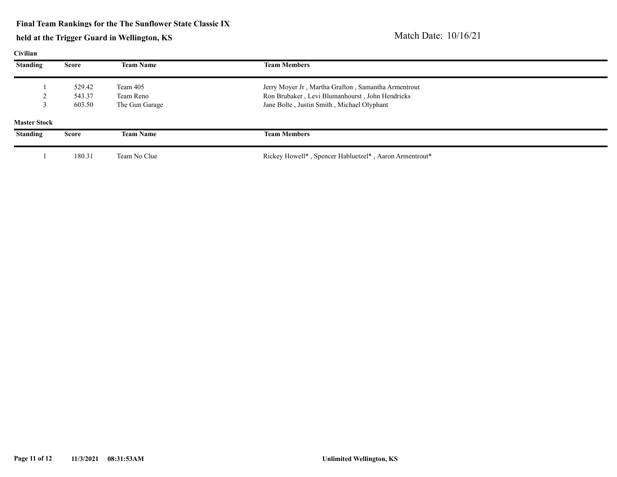#### **Final Team Rankings for the The Sunflower State Classic IX**

| шя |  |        |
|----|--|--------|
|    |  | ı<br>1 |

| $\cdots$            |              |                  |                                                        |  |
|---------------------|--------------|------------------|--------------------------------------------------------|--|
| <b>Standing</b>     | <b>Score</b> | <b>Team Name</b> | <b>Team Members</b>                                    |  |
|                     | 529.42       | Team 405         | Jerry Moyer Jr, Martha Grafton, Samantha Armentrout    |  |
|                     | 543.37       | Team Reno        | Ron Brubaker, Levi Blumanhourst, John Hendricks        |  |
|                     | 603.50       | The Gun Garage   | Jane Bolte, Justin Smith, Michael Olyphant             |  |
| <b>Master Stock</b> |              |                  |                                                        |  |
| <b>Standing</b>     | <b>Score</b> | <b>Team Name</b> | <b>Team Members</b>                                    |  |
|                     | 180.31       | Team No Clue     | Rickey Howell*, Spencer Habluetzel*, Aaron Armentrout* |  |